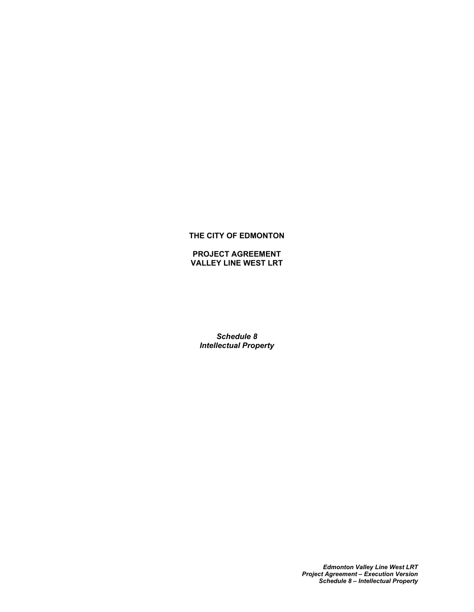### **THE CITY OF EDMONTON**

**PROJECT AGREEMENT VALLEY LINE WEST LRT**

*Schedule 8 Intellectual Property*

> *Edmonton Valley Line West LRT Project Agreement – Execution Version Schedule 8 – Intellectual Property*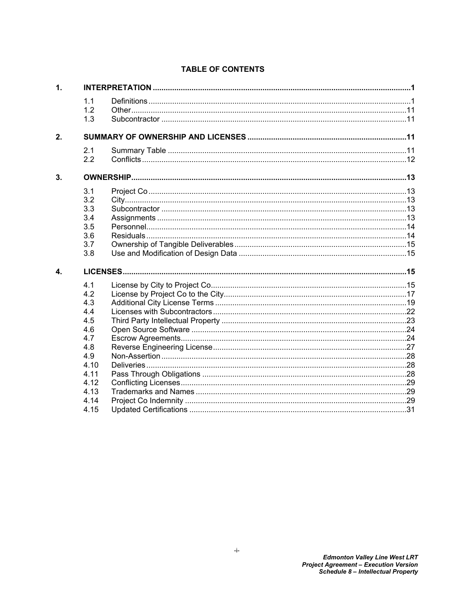|  | 1.1<br>1.2<br>1.3<br>2.1<br>2.2<br>3.1<br>3.2<br>3.3<br>3.4<br>3.5<br>3.6<br>3.7<br>3.8<br>4.1<br>4.2<br>4.3<br>4.4<br>4.5<br>4.6<br>4.7<br>4.8<br>4.9<br>4.10<br>4.11<br>4.12<br>4.13<br>4.14<br>4.15 |  |  |  |
|--|--------------------------------------------------------------------------------------------------------------------------------------------------------------------------------------------------------|--|--|--|

# **TABLE OF CONTENTS**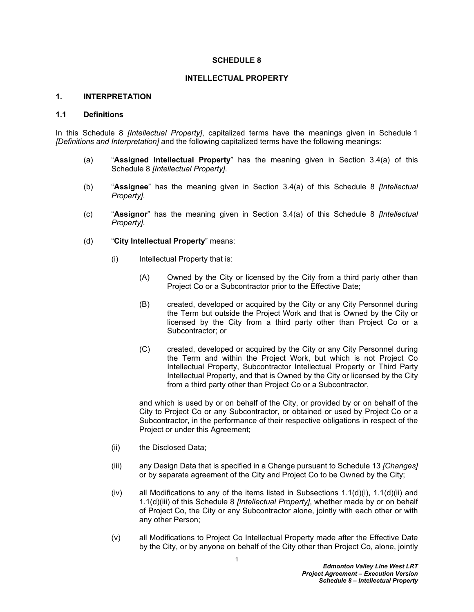#### **SCHEDULE 8**

#### **INTELLECTUAL PROPERTY**

#### <span id="page-2-0"></span>**1. INTERPRETATION**

### <span id="page-2-1"></span>**1.1 Definitions**

In this Schedule 8 *[Intellectual Property]*, capitalized terms have the meanings given in Schedule 1 *[Definitions and Interpretation]* and the following capitalized terms have the following meanings:

- (a) "**Assigned Intellectual Property**" has the meaning given in Section [3.4\(a\)](#page-14-5) of this Schedule 8 *[Intellectual Property]*.
- (b) "**Assignee**" has the meaning given in Section [3.4\(a\)](#page-14-5) of this Schedule 8 *[Intellectual Property]*.
- (c) "**Assignor**" has the meaning given in Section [3.4\(a\)](#page-14-5) of this Schedule 8 *[Intellectual Property]*.
- <span id="page-2-2"></span>(d) "**City Intellectual Property**" means:
	- (i) Intellectual Property that is:
		- (A) Owned by the City or licensed by the City from a third party other than Project Co or a Subcontractor prior to the Effective Date:
		- (B) created, developed or acquired by the City or any City Personnel during the Term but outside the Project Work and that is Owned by the City or licensed by the City from a third party other than Project Co or a Subcontractor; or
		- (C) created, developed or acquired by the City or any City Personnel during the Term and within the Project Work, but which is not Project Co Intellectual Property, Subcontractor Intellectual Property or Third Party Intellectual Property, and that is Owned by the City or licensed by the City from a third party other than Project Co or a Subcontractor,

and which is used by or on behalf of the City, or provided by or on behalf of the City to Project Co or any Subcontractor, or obtained or used by Project Co or a Subcontractor, in the performance of their respective obligations in respect of the Project or under this Agreement;

- <span id="page-2-3"></span>(ii) the Disclosed Data;
- <span id="page-2-4"></span>(iii) any Design Data that is specified in a Change pursuant to Schedule 13 *[Changes]* or by separate agreement of the City and Project Co to be Owned by the City;
- (iv) all Modifications to any of the items listed in Subsections  $1.1(d)(i)$ ,  $1.1(d)(ii)$  and [1.1\(d\)\(iii\)](#page-2-4) of this Schedule 8 *[Intellectual Property]*, whether made by or on behalf of Project Co, the City or any Subcontractor alone, jointly with each other or with any other Person;
- <span id="page-2-5"></span>(v) all Modifications to Project Co Intellectual Property made after the Effective Date by the City, or by anyone on behalf of the City other than Project Co, alone, jointly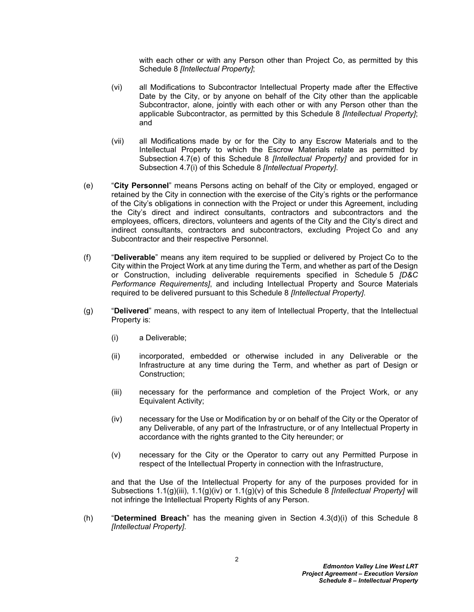with each other or with any Person other than Project Co, as permitted by this Schedule 8 *[Intellectual Property]*;

- <span id="page-3-4"></span>(vi) all Modifications to Subcontractor Intellectual Property made after the Effective Date by the City, or by anyone on behalf of the City other than the applicable Subcontractor, alone, jointly with each other or with any Person other than the applicable Subcontractor, as permitted by this Schedule 8 *[Intellectual Property]*; and
- <span id="page-3-3"></span>(vii) all Modifications made by or for the City to any Escrow Materials and to the Intellectual Property to which the Escrow Materials relate as permitted by Subsection [4.7\(e\)](#page-26-0) of this Schedule 8 *[Intellectual Property]* and provided for in Subsection [4.7\(i\)](#page-27-0) of this Schedule 8 *[Intellectual Property]*.
- (e) "**City Personnel**" means Persons acting on behalf of the City or employed, engaged or retained by the City in connection with the exercise of the City's rights or the performance of the City's obligations in connection with the Project or under this Agreement, including the City's direct and indirect consultants, contractors and subcontractors and the employees, officers, directors, volunteers and agents of the City and the City's direct and indirect consultants, contractors and subcontractors, excluding Project Co and any Subcontractor and their respective Personnel.
- (f) "**Deliverable**" means any item required to be supplied or delivered by Project Co to the City within the Project Work at any time during the Term, and whether as part of the Design or Construction, including deliverable requirements specified in Schedule 5 *[D&C Performance Requirements]*, and including Intellectual Property and Source Materials required to be delivered pursuant to this Schedule 8 *[Intellectual Property]*.
- <span id="page-3-5"></span><span id="page-3-0"></span>(g) "**Delivered**" means, with respect to any item of Intellectual Property, that the Intellectual Property is:
	- (i) a Deliverable;
	- (ii) incorporated, embedded or otherwise included in any Deliverable or the Infrastructure at any time during the Term, and whether as part of Design or Construction;
	- (iii) necessary for the performance and completion of the Project Work, or any Equivalent Activity;
	- (iv) necessary for the Use or Modification by or on behalf of the City or the Operator of any Deliverable, of any part of the Infrastructure, or of any Intellectual Property in accordance with the rights granted to the City hereunder; or
	- (v) necessary for the City or the Operator to carry out any Permitted Purpose in respect of the Intellectual Property in connection with the Infrastructure,

<span id="page-3-2"></span><span id="page-3-1"></span>and that the Use of the Intellectual Property for any of the purposes provided for in Subsections [1.1\(g\)\(iii\)](#page-3-0), [1.1\(g\)\(iv\)](#page-3-1) or [1.1\(g\)\(v\)](#page-3-2) of this Schedule 8 *[Intellectual Property]* will not infringe the Intellectual Property Rights of any Person.

(h) "**Determined Breach**" has the meaning given in Section [4.3\(d\)\(i\)](#page-21-0) of this Schedule 8 *[Intellectual Property]*.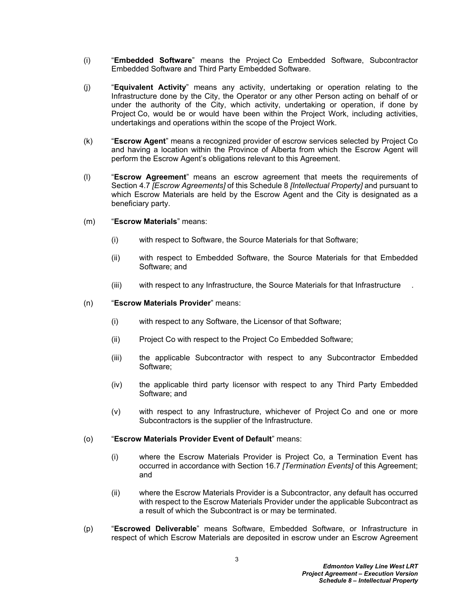- (i) "**Embedded Software**" means the Project Co Embedded Software, Subcontractor Embedded Software and Third Party Embedded Software.
- (j) "**Equivalent Activity**" means any activity, undertaking or operation relating to the Infrastructure done by the City, the Operator or any other Person acting on behalf of or under the authority of the City, which activity, undertaking or operation, if done by Project Co, would be or would have been within the Project Work, including activities, undertakings and operations within the scope of the Project Work.
- (k) "**Escrow Agent**" means a recognized provider of escrow services selected by Project Co and having a location within the Province of Alberta from which the Escrow Agent will perform the Escrow Agent's obligations relevant to this Agreement.
- (l) "**Escrow Agreement**" means an escrow agreement that meets the requirements of Section [4.7](#page-25-1) *[Escrow Agreements]* of this Schedule 8 *[Intellectual Property]* and pursuant to which Escrow Materials are held by the Escrow Agent and the City is designated as a beneficiary party.
- (m) "**Escrow Materials**" means:
	- (i) with respect to Software, the Source Materials for that Software;
	- (ii) with respect to Embedded Software, the Source Materials for that Embedded Software; and
	- (iii) with respect to any Infrastructure, the Source Materials for that Infrastructure .

#### (n) "**Escrow Materials Provider**" means:

- (i) with respect to any Software, the Licensor of that Software;
- (ii) Project Co with respect to the Project Co Embedded Software;
- (iii) the applicable Subcontractor with respect to any Subcontractor Embedded Software;
- (iv) the applicable third party licensor with respect to any Third Party Embedded Software; and
- (v) with respect to any Infrastructure, whichever of Project Co and one or more Subcontractors is the supplier of the Infrastructure.

#### (o) "**Escrow Materials Provider Event of Default**" means:

- (i) where the Escrow Materials Provider is Project Co, a Termination Event has occurred in accordance with Section 16.7 *[Termination Events]* of this Agreement; and
- (ii) where the Escrow Materials Provider is a Subcontractor, any default has occurred with respect to the Escrow Materials Provider under the applicable Subcontract as a result of which the Subcontract is or may be terminated.
- (p) "**Escrowed Deliverable**" means Software, Embedded Software, or Infrastructure in respect of which Escrow Materials are deposited in escrow under an Escrow Agreement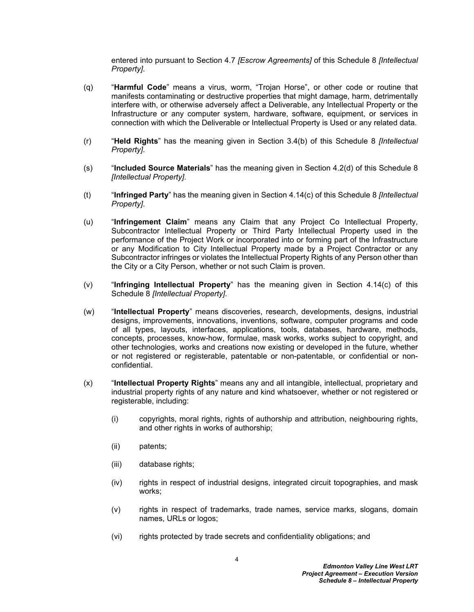entered into pursuant to Section [4.7](#page-25-1) *[Escrow Agreements]* of this Schedule 8 *[Intellectual Property]*.

- (q) "**Harmful Code**" means a virus, worm, "Trojan Horse", or other code or routine that manifests contaminating or destructive properties that might damage, harm, detrimentally interfere with, or otherwise adversely affect a Deliverable, any Intellectual Property or the Infrastructure or any computer system, hardware, software, equipment, or services in connection with which the Deliverable or Intellectual Property is Used or any related data.
- (r) "**Held Rights**" has the meaning given in Section [3.4\(b\)](#page-14-6) of this Schedule 8 *[Intellectual Property]*.
- (s) "**Included Source Materials**" has the meaning given in Section [4.2\(d\)](#page-19-0) of this Schedule 8 *[Intellectual Property]*.
- (t) "**Infringed Party**" has the meaning given in Section [4.14\(c\)](#page-31-0) of this Schedule 8 *[Intellectual Property]*.
- (u) "**Infringement Claim**" means any Claim that any Project Co Intellectual Property, Subcontractor Intellectual Property or Third Party Intellectual Property used in the performance of the Project Work or incorporated into or forming part of the Infrastructure or any Modification to City Intellectual Property made by a Project Contractor or any Subcontractor infringes or violates the Intellectual Property Rights of any Person other than the City or a City Person, whether or not such Claim is proven.
- (v) "**Infringing Intellectual Property**" has the meaning given in Section [4.14\(c\)](#page-31-0) of this Schedule 8 *[Intellectual Property]*.
- (w) "**Intellectual Property**" means discoveries, research, developments, designs, industrial designs, improvements, innovations, inventions, software, computer programs and code of all types, layouts, interfaces, applications, tools, databases, hardware, methods, concepts, processes, know-how, formulae, mask works, works subject to copyright, and other technologies, works and creations now existing or developed in the future, whether or not registered or registerable, patentable or non-patentable, or confidential or nonconfidential.
- <span id="page-5-1"></span><span id="page-5-0"></span>(x) "**Intellectual Property Rights**" means any and all intangible, intellectual, proprietary and industrial property rights of any nature and kind whatsoever, whether or not registered or registerable, including:
	- (i) copyrights, moral rights, rights of authorship and attribution, neighbouring rights, and other rights in works of authorship;
	- (ii) patents;
	- (iii) database rights;
	- (iv) rights in respect of industrial designs, integrated circuit topographies, and mask works;
	- (v) rights in respect of trademarks, trade names, service marks, slogans, domain names, URLs or logos;
	- (vi) rights protected by trade secrets and confidentiality obligations; and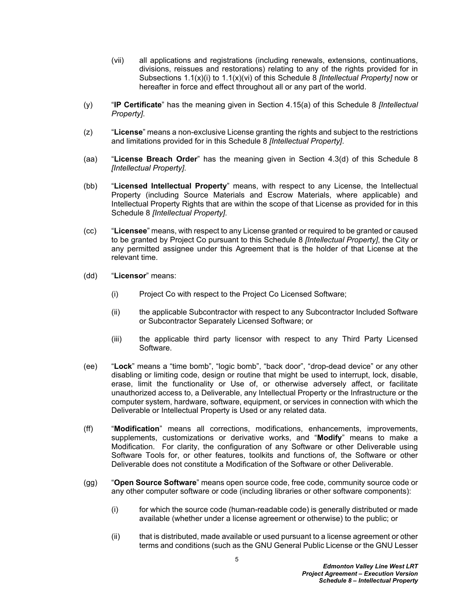- (vii) all applications and registrations (including renewals, extensions, continuations, divisions, reissues and restorations) relating to any of the rights provided for in Subsections [1.1\(x\)\(i\)](#page-5-0) to [1.1\(x\)\(vi\)](#page-5-1) of this Schedule 8 *[Intellectual Property]* now or hereafter in force and effect throughout all or any part of the world.
- (y) "**IP Certificate**" has the meaning given in Section [4.15\(a\)](#page-32-1) of this Schedule 8 *[Intellectual Property]*.
- (z) "**License**" means a non-exclusive License granting the rights and subject to the restrictions and limitations provided for in this Schedule 8 *[Intellectual Property]*.
- (aa) "**License Breach Order**" has the meaning given in Section [4.3\(d\)](#page-21-1) of this Schedule 8 *[Intellectual Property]*.
- (bb) "**Licensed Intellectual Property**" means, with respect to any License, the Intellectual Property (including Source Materials and Escrow Materials, where applicable) and Intellectual Property Rights that are within the scope of that License as provided for in this Schedule 8 *[Intellectual Property]*.
- (cc) "**Licensee**" means, with respect to any License granted or required to be granted or caused to be granted by Project Co pursuant to this Schedule 8 *[Intellectual Property]*, the City or any permitted assignee under this Agreement that is the holder of that License at the relevant time.
- (dd) "**Licensor**" means:
	- (i) Project Co with respect to the Project Co Licensed Software;
	- (ii) the applicable Subcontractor with respect to any Subcontractor Included Software or Subcontractor Separately Licensed Software; or
	- (iii) the applicable third party licensor with respect to any Third Party Licensed Software.
- (ee) "**Lock**" means a "time bomb", "logic bomb", "back door", "drop-dead device" or any other disabling or limiting code, design or routine that might be used to interrupt, lock, disable, erase, limit the functionality or Use of, or otherwise adversely affect, or facilitate unauthorized access to, a Deliverable, any Intellectual Property or the Infrastructure or the computer system, hardware, software, equipment, or services in connection with which the Deliverable or Intellectual Property is Used or any related data.
- (ff) "**Modification**" means all corrections, modifications, enhancements, improvements, supplements, customizations or derivative works, and "**Modify**" means to make a Modification. For clarity, the configuration of any Software or other Deliverable using Software Tools for, or other features, toolkits and functions of, the Software or other Deliverable does not constitute a Modification of the Software or other Deliverable.
- (gg) "**Open Source Software**" means open source code, free code, community source code or any other computer software or code (including libraries or other software components):
	- (i) for which the source code (human-readable code) is generally distributed or made available (whether under a license agreement or otherwise) to the public; or
	- (ii) that is distributed, made available or used pursuant to a license agreement or other terms and conditions (such as the GNU General Public License or the GNU Lesser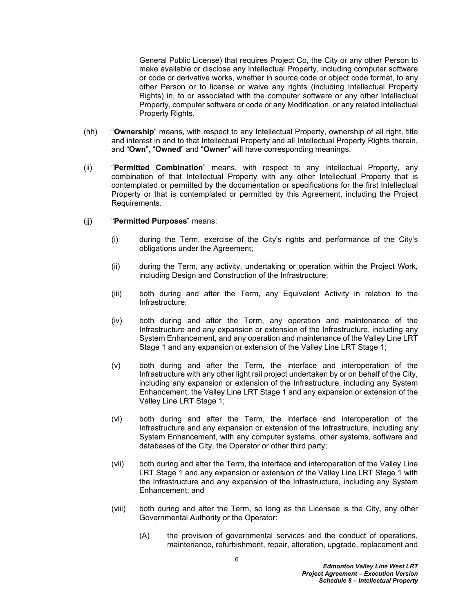General Public License) that requires Project Co, the City or any other Person to make available or disclose any Intellectual Property, including computer software or code or derivative works, whether in source code or object code format, to any other Person or to license or waive any rights (including Intellectual Property Rights) in, to or associated with the computer software or any other Intellectual Property, computer software or code or any Modification, or any related Intellectual Property Rights.

- (hh) "**Ownership**" means, with respect to any Intellectual Property, ownership of all right, title and interest in and to that Intellectual Property and all Intellectual Property Rights therein, and "**Own**", "**Owned**" and "**Owner**" will have corresponding meanings.
- (ii) "**Permitted Combination**" means, with respect to any Intellectual Property, any combination of that Intellectual Property with any other Intellectual Property that is contemplated or permitted by the documentation or specifications for the first Intellectual Property or that is contemplated or permitted by this Agreement, including the Project Requirements.
- (jj) "**Permitted Purposes**" means:
	- (i) during the Term, exercise of the City's rights and performance of the City's obligations under the Agreement;
	- (ii) during the Term, any activity, undertaking or operation within the Project Work, including Design and Construction of the Infrastructure;
	- (iii) both during and after the Term, any Equivalent Activity in relation to the Infrastructure;
	- (iv) both during and after the Term, any operation and maintenance of the Infrastructure and any expansion or extension of the Infrastructure, including any System Enhancement, and any operation and maintenance of the Valley Line LRT Stage 1 and any expansion or extension of the Valley Line LRT Stage 1;
	- (v) both during and after the Term, the interface and interoperation of the Infrastructure with any other light rail project undertaken by or on behalf of the City, including any expansion or extension of the Infrastructure, including any System Enhancement, the Valley Line LRT Stage 1 and any expansion or extension of the Valley Line LRT Stage 1;
	- (vi) both during and after the Term, the interface and interoperation of the Infrastructure and any expansion or extension of the Infrastructure, including any System Enhancement, with any computer systems, other systems, software and databases of the City, the Operator or other third party;
	- (vii) both during and after the Term, the interface and interoperation of the Valley Line LRT Stage 1 and any expansion or extension of the Valley Line LRT Stage 1 with the Infrastructure and any expansion of the Infrastructure, including any System Enhancement; and
	- (viii) both during and after the Term, so long as the Licensee is the City, any other Governmental Authority or the Operator:
		- (A) the provision of governmental services and the conduct of operations, maintenance, refurbishment, repair, alteration, upgrade, replacement and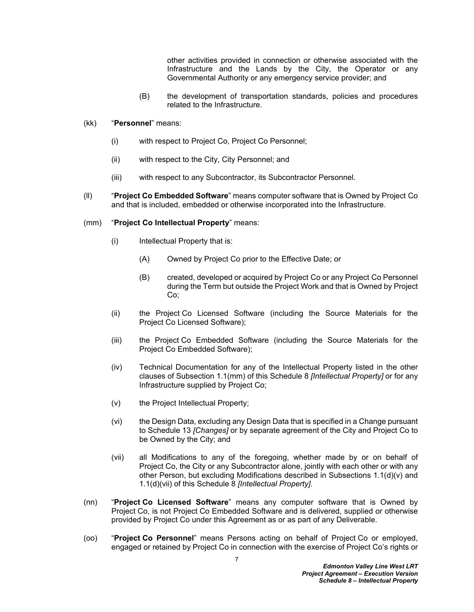other activities provided in connection or otherwise associated with the Infrastructure and the Lands by the City, the Operator or any Governmental Authority or any emergency service provider; and

- (B) the development of transportation standards, policies and procedures related to the Infrastructure.
- (kk) "**Personnel**" means:
	- (i) with respect to Project Co, Project Co Personnel;
	- (ii) with respect to the City, City Personnel; and
	- (iii) with respect to any Subcontractor, its Subcontractor Personnel.
- (ll) "**Project Co Embedded Software**" means computer software that is Owned by Project Co and that is included, embedded or otherwise incorporated into the Infrastructure.

#### <span id="page-8-0"></span>(mm) "**Project Co Intellectual Property**" means:

- (i) Intellectual Property that is:
	- (A) Owned by Project Co prior to the Effective Date; or
	- (B) created, developed or acquired by Project Co or any Project Co Personnel during the Term but outside the Project Work and that is Owned by Project Co;
- (ii) the Project Co Licensed Software (including the Source Materials for the Project Co Licensed Software);
- (iii) the Project Co Embedded Software (including the Source Materials for the Project Co Embedded Software);
- (iv) Technical Documentation for any of the Intellectual Property listed in the other clauses of Subsection [1.1\(mm\)](#page-8-0) of this Schedule 8 *[Intellectual Property]* or for any Infrastructure supplied by Project Co;
- (v) the Project Intellectual Property;
- (vi) the Design Data, excluding any Design Data that is specified in a Change pursuant to Schedule 13 *[Changes]* or by separate agreement of the City and Project Co to be Owned by the City; and
- (vii) all Modifications to any of the foregoing, whether made by or on behalf of Project Co, the City or any Subcontractor alone, jointly with each other or with any other Person, but excluding Modifications described in Subsections [1.1\(d\)\(v\)](#page-2-5) and [1.1\(d\)\(vii\)](#page-3-3) of this Schedule 8 *[Intellectual Property]*.
- (nn) "**Project Co Licensed Software**" means any computer software that is Owned by Project Co, is not Project Co Embedded Software and is delivered, supplied or otherwise provided by Project Co under this Agreement as or as part of any Deliverable.
- (oo) "**Project Co Personnel**" means Persons acting on behalf of Project Co or employed, engaged or retained by Project Co in connection with the exercise of Project Co's rights or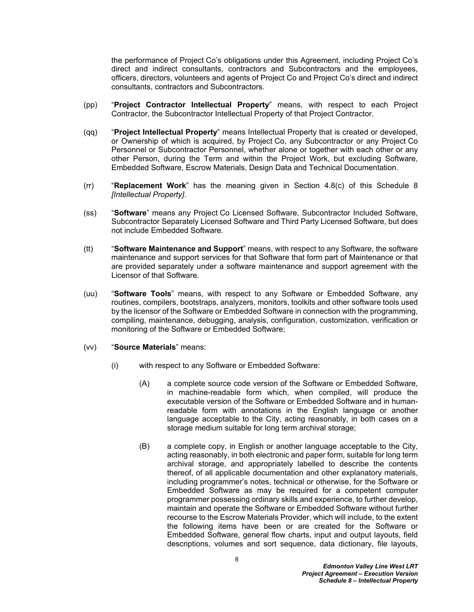the performance of Project Co's obligations under this Agreement, including Project Co's direct and indirect consultants, contractors and Subcontractors and the employees, officers, directors, volunteers and agents of Project Co and Project Co's direct and indirect consultants, contractors and Subcontractors.

- (pp) "**Project Contractor Intellectual Property**" means, with respect to each Project Contractor, the Subcontractor Intellectual Property of that Project Contractor.
- (qq) "**Project Intellectual Property**" means Intellectual Property that is created or developed, or Ownership of which is acquired, by Project Co, any Subcontractor or any Project Co Personnel or Subcontractor Personnel, whether alone or together with each other or any other Person, during the Term and within the Project Work, but excluding Software, Embedded Software, Escrow Materials, Design Data and Technical Documentation.
- (rr) "**Replacement Work**" has the meaning given in Section [4.8\(c\)](#page-28-1) of this Schedule 8 *[Intellectual Property]*.
- (ss) "**Software**" means any Project Co Licensed Software, Subcontractor Included Software, Subcontractor Separately Licensed Software and Third Party Licensed Software, but does not include Embedded Software.
- (tt) "**Software Maintenance and Support**" means, with respect to any Software, the software maintenance and support services for that Software that form part of Maintenance or that are provided separately under a software maintenance and support agreement with the Licensor of that Software.
- (uu) "**Software Tools**" means, with respect to any Software or Embedded Software, any routines, compilers, bootstraps, analyzers, monitors, toolkits and other software tools used by the licensor of the Software or Embedded Software in connection with the programming, compiling, maintenance, debugging, analysis, configuration, customization, verification or monitoring of the Software or Embedded Software;
- (vv) "**Source Materials**" means:
	- (i) with respect to any Software or Embedded Software:
		- (A) a complete source code version of the Software or Embedded Software, in machine-readable form which, when compiled, will produce the executable version of the Software or Embedded Software and in humanreadable form with annotations in the English language or another language acceptable to the City, acting reasonably, in both cases on a storage medium suitable for long term archival storage;
		- (B) a complete copy, in English or another language acceptable to the City, acting reasonably, in both electronic and paper form, suitable for long term archival storage, and appropriately labelled to describe the contents thereof, of all applicable documentation and other explanatory materials, including programmer's notes, technical or otherwise, for the Software or Embedded Software as may be required for a competent computer programmer possessing ordinary skills and experience, to further develop, maintain and operate the Software or Embedded Software without further recourse to the Escrow Materials Provider, which will include, to the extent the following items have been or are created for the Software or Embedded Software, general flow charts, input and output layouts, field descriptions, volumes and sort sequence, data dictionary, file layouts,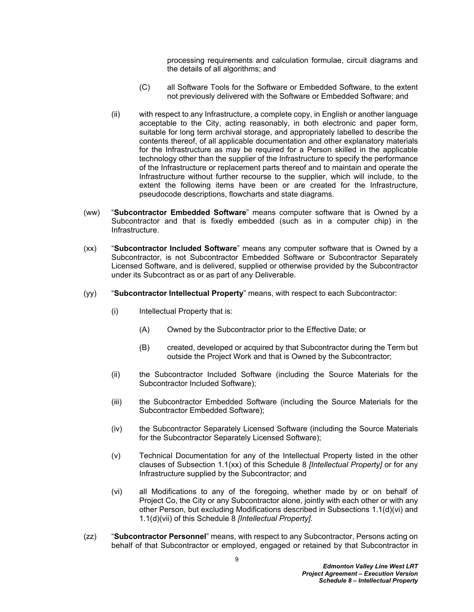processing requirements and calculation formulae, circuit diagrams and the details of all algorithms; and

- (C) all Software Tools for the Software or Embedded Software, to the extent not previously delivered with the Software or Embedded Software; and
- (ii) with respect to any Infrastructure, a complete copy, in English or another language acceptable to the City, acting reasonably, in both electronic and paper form, suitable for long term archival storage, and appropriately labelled to describe the contents thereof, of all applicable documentation and other explanatory materials for the Infrastructure as may be required for a Person skilled in the applicable technology other than the supplier of the Infrastructure to specify the performance of the Infrastructure or replacement parts thereof and to maintain and operate the Infrastructure without further recourse to the supplier, which will include, to the extent the following items have been or are created for the Infrastructure, pseudocode descriptions, flowcharts and state diagrams.
- (ww) "**Subcontractor Embedded Software**" means computer software that is Owned by a Subcontractor and that is fixedly embedded (such as in a computer chip) in the Infrastructure.
- <span id="page-10-0"></span>(xx) "**Subcontractor Included Software**" means any computer software that is Owned by a Subcontractor, is not Subcontractor Embedded Software or Subcontractor Separately Licensed Software, and is delivered, supplied or otherwise provided by the Subcontractor under its Subcontract as or as part of any Deliverable.
- (yy) "**Subcontractor Intellectual Property**" means, with respect to each Subcontractor:
	- (i) Intellectual Property that is:
		- (A) Owned by the Subcontractor prior to the Effective Date; or
		- (B) created, developed or acquired by that Subcontractor during the Term but outside the Project Work and that is Owned by the Subcontractor;
	- (ii) the Subcontractor Included Software (including the Source Materials for the Subcontractor Included Software);
	- (iii) the Subcontractor Embedded Software (including the Source Materials for the Subcontractor Embedded Software);
	- (iv) the Subcontractor Separately Licensed Software (including the Source Materials for the Subcontractor Separately Licensed Software);
	- (v) Technical Documentation for any of the Intellectual Property listed in the other clauses of Subsection [1.1\(xx\)](#page-10-0) of this Schedule 8 *[Intellectual Property]* or for any Infrastructure supplied by the Subcontractor; and
	- (vi) all Modifications to any of the foregoing, whether made by or on behalf of Project Co, the City or any Subcontractor alone, jointly with each other or with any other Person, but excluding Modifications described in Subsections [1.1\(d\)\(vi\)](#page-3-4) and [1.1\(d\)\(vii\)](#page-3-3) of this Schedule 8 *[Intellectual Property]*.
- (zz) "**Subcontractor Personnel**" means, with respect to any Subcontractor, Persons acting on behalf of that Subcontractor or employed, engaged or retained by that Subcontractor in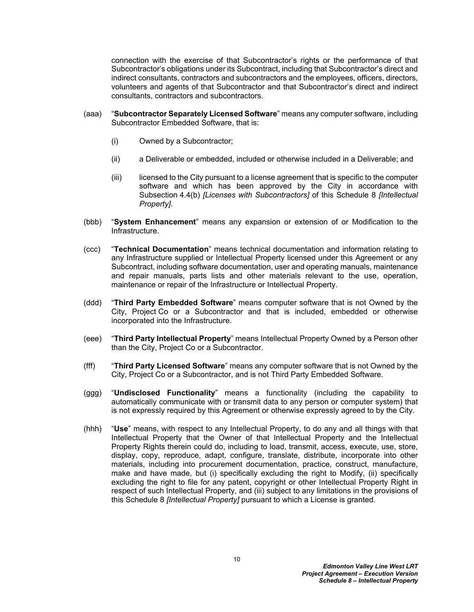connection with the exercise of that Subcontractor's rights or the performance of that Subcontractor's obligations under its Subcontract, including that Subcontractor's direct and indirect consultants, contractors and subcontractors and the employees, officers, directors, volunteers and agents of that Subcontractor and that Subcontractor's direct and indirect consultants, contractors and subcontractors.

- (aaa) "**Subcontractor Separately Licensed Software**" means any computer software, including Subcontractor Embedded Software, that is:
	- (i) Owned by a Subcontractor;
	- (ii) a Deliverable or embedded, included or otherwise included in a Deliverable; and
	- (iii) licensed to the City pursuant to a license agreement that is specific to the computer software and which has been approved by the City in accordance with Subsection [4.4\(b\)](#page-23-1) *[Licenses with Subcontractors]* of this Schedule 8 *[Intellectual Property]*.
- (bbb) "**System Enhancement**" means any expansion or extension of or Modification to the Infrastructure.
- (ccc) "**Technical Documentation**" means technical documentation and information relating to any Infrastructure supplied or Intellectual Property licensed under this Agreement or any Subcontract, including software documentation, user and operating manuals, maintenance and repair manuals, parts lists and other materials relevant to the use, operation, maintenance or repair of the Infrastructure or Intellectual Property.
- (ddd) "**Third Party Embedded Software**" means computer software that is not Owned by the City, Project Co or a Subcontractor and that is included, embedded or otherwise incorporated into the Infrastructure.
- (eee) "**Third Party Intellectual Property**" means Intellectual Property Owned by a Person other than the City, Project Co or a Subcontractor.
- (fff) "**Third Party Licensed Software**" means any computer software that is not Owned by the City, Project Co or a Subcontractor, and is not Third Party Embedded Software.
- (ggg) "**Undisclosed Functionality**" means a functionality (including the capability to automatically communicate with or transmit data to any person or computer system) that is not expressly required by this Agreement or otherwise expressly agreed to by the City.
- (hhh) "**Use**" means, with respect to any Intellectual Property, to do any and all things with that Intellectual Property that the Owner of that Intellectual Property and the Intellectual Property Rights therein could do, including to load, transmit, access, execute, use, store, display, copy, reproduce, adapt, configure, translate, distribute, incorporate into other materials, including into procurement documentation, practice, construct, manufacture, make and have made, but (i) specifically excluding the right to Modify, (ii) specifically excluding the right to file for any patent, copyright or other Intellectual Property Right in respect of such Intellectual Property, and (iii) subject to any limitations in the provisions of this Schedule 8 *[Intellectual Property]* pursuant to which a License is granted.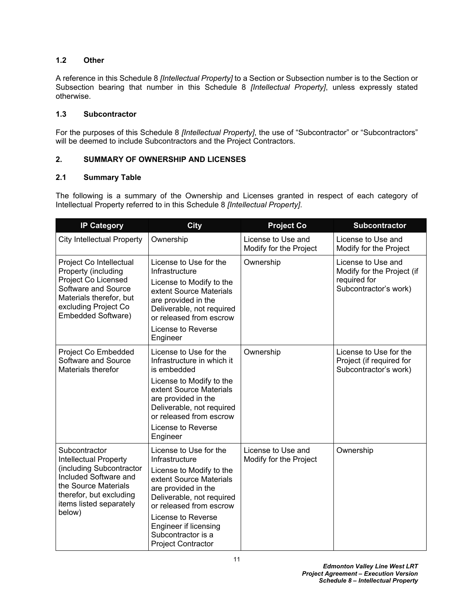## <span id="page-12-0"></span>**1.2 Other**

A reference in this Schedule 8 *[Intellectual Property]* to a Section or Subsection number is to the Section or Subsection bearing that number in this Schedule 8 *[Intellectual Property]*, unless expressly stated otherwise.

## <span id="page-12-1"></span>**1.3 Subcontractor**

For the purposes of this Schedule 8 *[Intellectual Property]*, the use of "Subcontractor" or "Subcontractors" will be deemed to include Subcontractors and the Project Contractors.

## <span id="page-12-2"></span>**2. SUMMARY OF OWNERSHIP AND LICENSES**

### <span id="page-12-3"></span>**2.1 Summary Table**

The following is a summary of the Ownership and Licenses granted in respect of each category of Intellectual Property referred to in this Schedule 8 *[Intellectual Property]*.

| <b>IP Category</b>                                                                                                                                                                         | <b>City</b>                                                                                                                                                                                                                                                                      | <b>Project Co</b>                            | <b>Subcontractor</b>                                                                      |
|--------------------------------------------------------------------------------------------------------------------------------------------------------------------------------------------|----------------------------------------------------------------------------------------------------------------------------------------------------------------------------------------------------------------------------------------------------------------------------------|----------------------------------------------|-------------------------------------------------------------------------------------------|
| <b>City Intellectual Property</b>                                                                                                                                                          | Ownership                                                                                                                                                                                                                                                                        | License to Use and<br>Modify for the Project | License to Use and<br>Modify for the Project                                              |
| Project Co Intellectual<br>Property (including<br>Project Co Licensed<br>Software and Source<br>Materials therefor, but<br>excluding Project Co<br>Embedded Software)                      | License to Use for the<br>Infrastructure<br>License to Modify to the<br>extent Source Materials<br>are provided in the<br>Deliverable, not required<br>or released from escrow<br>License to Reverse<br>Engineer                                                                 | Ownership                                    | License to Use and<br>Modify for the Project (if<br>required for<br>Subcontractor's work) |
| Project Co Embedded<br>Software and Source<br>Materials therefor                                                                                                                           | License to Use for the<br>Infrastructure in which it<br>is embedded<br>License to Modify to the<br>extent Source Materials<br>are provided in the<br>Deliverable, not required<br>or released from escrow<br>License to Reverse<br>Engineer                                      | Ownership                                    | License to Use for the<br>Project (if required for<br>Subcontractor's work)               |
| Subcontractor<br><b>Intellectual Property</b><br>(including Subcontractor<br>Included Software and<br>the Source Materials<br>therefor, but excluding<br>items listed separately<br>below) | License to Use for the<br>Infrastructure<br>License to Modify to the<br>extent Source Materials<br>are provided in the<br>Deliverable, not required<br>or released from escrow<br>License to Reverse<br>Engineer if licensing<br>Subcontractor is a<br><b>Project Contractor</b> | License to Use and<br>Modify for the Project | Ownership                                                                                 |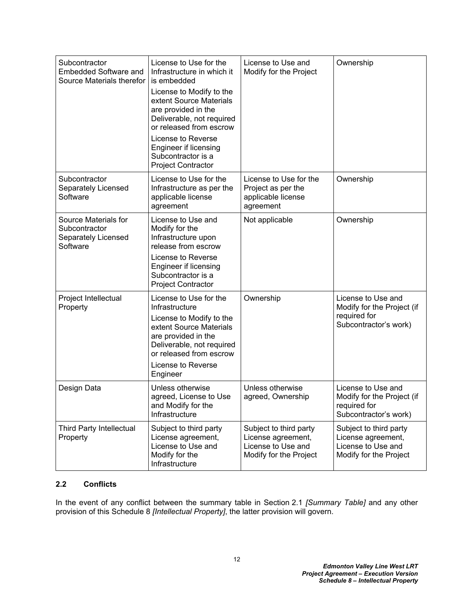| Subcontractor<br><b>Embedded Software and</b><br>Source Materials therefor | License to Use for the<br>Infrastructure in which it<br>is embedded<br>License to Modify to the<br>extent Source Materials<br>are provided in the<br>Deliverable, not required<br>or released from escrow<br>License to Reverse<br>Engineer if licensing<br>Subcontractor is a<br><b>Project Contractor</b> | License to Use and<br>Modify for the Project                                                 | Ownership                                                                                    |
|----------------------------------------------------------------------------|-------------------------------------------------------------------------------------------------------------------------------------------------------------------------------------------------------------------------------------------------------------------------------------------------------------|----------------------------------------------------------------------------------------------|----------------------------------------------------------------------------------------------|
| Subcontractor<br>Separately Licensed<br>Software                           | License to Use for the<br>Infrastructure as per the<br>applicable license<br>agreement                                                                                                                                                                                                                      | License to Use for the<br>Project as per the<br>applicable license<br>agreement              | Ownership                                                                                    |
| Source Materials for<br>Subcontractor<br>Separately Licensed<br>Software   | License to Use and<br>Modify for the<br>Infrastructure upon<br>release from escrow<br>License to Reverse<br>Engineer if licensing<br>Subcontractor is a<br><b>Project Contractor</b>                                                                                                                        | Not applicable                                                                               | Ownership                                                                                    |
| Project Intellectual<br>Property                                           | License to Use for the<br>Infrastructure<br>License to Modify to the<br>extent Source Materials<br>are provided in the<br>Deliverable, not required<br>or released from escrow<br>License to Reverse<br>Engineer                                                                                            | Ownership                                                                                    | License to Use and<br>Modify for the Project (if<br>required for<br>Subcontractor's work)    |
| Design Data                                                                | Unless otherwise<br>agreed, License to Use<br>and Modify for the<br>Infrastructure                                                                                                                                                                                                                          | Unless otherwise<br>agreed, Ownership                                                        | License to Use and<br>Modify for the Project (if<br>required for<br>Subcontractor's work)    |
| <b>Third Party Intellectual</b><br>Property                                | Subject to third party<br>License agreement,<br>License to Use and<br>Modify for the<br>Infrastructure                                                                                                                                                                                                      | Subject to third party<br>License agreement,<br>License to Use and<br>Modify for the Project | Subject to third party<br>License agreement,<br>License to Use and<br>Modify for the Project |

## <span id="page-13-0"></span>**2.2 Conflicts**

In the event of any conflict between the summary table in Section [2.1](#page-12-3) *[Summary Table]* and any other provision of this Schedule 8 *[Intellectual Property]*, the latter provision will govern.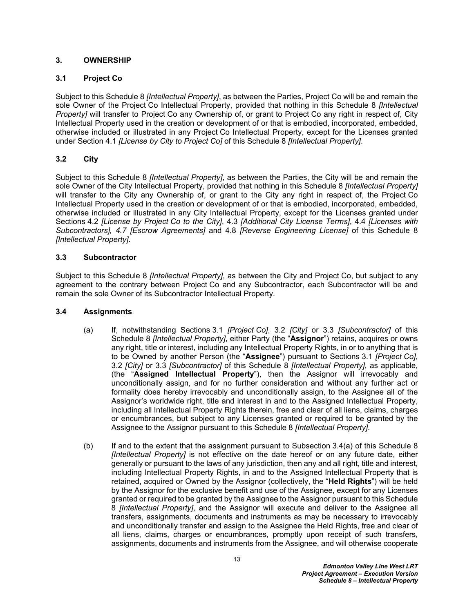## <span id="page-14-0"></span>**3. OWNERSHIP**

## <span id="page-14-1"></span>**3.1 Project Co**

Subject to this Schedule 8 *[Intellectual Property]*, as between the Parties, Project Co will be and remain the sole Owner of the Project Co Intellectual Property, provided that nothing in this Schedule 8 *[Intellectual Property]* will transfer to Project Co any Ownership of, or grant to Project Co any right in respect of, City Intellectual Property used in the creation or development of or that is embodied, incorporated, embedded, otherwise included or illustrated in any Project Co Intellectual Property, except for the Licenses granted under Section [4.1](#page-16-3) *[License by City to Project Co]* of this Schedule 8 *[Intellectual Property]*.

## <span id="page-14-2"></span>**3.2 City**

Subject to this Schedule 8 *[Intellectual Property]*, as between the Parties, the City will be and remain the sole Owner of the City Intellectual Property, provided that nothing in this Schedule 8 *[Intellectual Property]* will transfer to the City any Ownership of, or grant to the City any right in respect of, the Project Co Intellectual Property used in the creation or development of or that is embodied, incorporated, embedded, otherwise included or illustrated in any City Intellectual Property, except for the Licenses granted under Sections [4.2](#page-18-0) *[License by Project Co to the City]*, [4.3](#page-20-0) *[Additional City License Terms]*, [4.4](#page-23-0) *[Licenses with Subcontractors], [4.7](#page-25-1) [Escrow Agreements]* and [4.8](#page-28-0) *[Reverse Engineering License]* of this Schedule 8 *[Intellectual Property]*.

### <span id="page-14-3"></span>**3.3 Subcontractor**

Subject to this Schedule 8 *[Intellectual Property]*, as between the City and Project Co, but subject to any agreement to the contrary between Project Co and any Subcontractor, each Subcontractor will be and remain the sole Owner of its Subcontractor Intellectual Property.

### <span id="page-14-4"></span>**3.4 Assignments**

- <span id="page-14-5"></span>(a) If, notwithstanding Sections [3.1](#page-14-1) *[Project Co]*, [3.2](#page-14-2) *[City]* or [3.3](#page-14-3) *[Subcontractor]* of this Schedule 8 *[Intellectual Property]*, either Party (the "**Assignor**") retains, acquires or owns any right, title or interest, including any Intellectual Property Rights, in or to anything that is to be Owned by another Person (the "**Assignee**") pursuant to Sections [3.1](#page-14-1) *[Project Co]*, [3.2](#page-14-2) *[City]* or [3.3](#page-14-3) *[Subcontractor]* of this Schedule 8 *[Intellectual Property]*, as applicable, (the "**Assigned Intellectual Property**"), then the Assignor will irrevocably and unconditionally assign, and for no further consideration and without any further act or formality does hereby irrevocably and unconditionally assign, to the Assignee all of the Assignor's worldwide right, title and interest in and to the Assigned Intellectual Property, including all Intellectual Property Rights therein, free and clear of all liens, claims, charges or encumbrances, but subject to any Licenses granted or required to be granted by the Assignee to the Assignor pursuant to this Schedule 8 *[Intellectual Property]*.
- <span id="page-14-6"></span>(b) If and to the extent that the assignment pursuant to Subsection [3.4\(a\)](#page-14-5) of this Schedule 8 *[Intellectual Property]* is not effective on the date hereof or on any future date, either generally or pursuant to the laws of any jurisdiction, then any and all right, title and interest, including Intellectual Property Rights, in and to the Assigned Intellectual Property that is retained, acquired or Owned by the Assignor (collectively, the "**Held Rights**") will be held by the Assignor for the exclusive benefit and use of the Assignee, except for any Licenses granted or required to be granted by the Assignee to the Assignor pursuant to this Schedule 8 *[Intellectual Property]*, and the Assignor will execute and deliver to the Assignee all transfers, assignments, documents and instruments as may be necessary to irrevocably and unconditionally transfer and assign to the Assignee the Held Rights, free and clear of all liens, claims, charges or encumbrances, promptly upon receipt of such transfers, assignments, documents and instruments from the Assignee, and will otherwise cooperate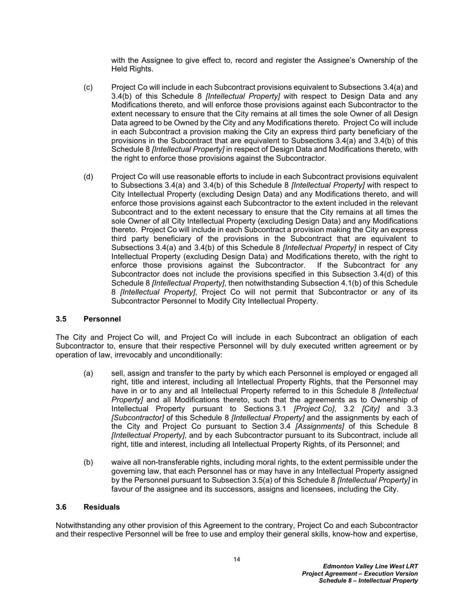with the Assignee to give effect to, record and register the Assignee's Ownership of the Held Rights.

- (c) Project Co will include in each Subcontract provisions equivalent to Subsections [3.4\(a\)](#page-14-5) and [3.4\(b\)](#page-14-6) of this Schedule 8 *[Intellectual Property]* with respect to Design Data and any Modifications thereto, and will enforce those provisions against each Subcontractor to the extent necessary to ensure that the City remains at all times the sole Owner of all Design Data agreed to be Owned by the City and any Modifications thereto. Project Co will include in each Subcontract a provision making the City an express third party beneficiary of the provisions in the Subcontract that are equivalent to Subsections [3.4\(a\)](#page-14-5) and [3.4\(b\)](#page-14-6) of this Schedule 8 *[Intellectual Property]* in respect of Design Data and Modifications thereto, with the right to enforce those provisions against the Subcontractor.
- <span id="page-15-2"></span>(d) Project Co will use reasonable efforts to include in each Subcontract provisions equivalent to Subsections [3.4\(a\)](#page-14-5) and [3.4\(b\)](#page-14-6) of this Schedule 8 *[Intellectual Property]* with respect to City Intellectual Property (excluding Design Data) and any Modifications thereto, and will enforce those provisions against each Subcontractor to the extent included in the relevant Subcontract and to the extent necessary to ensure that the City remains at all times the sole Owner of all City Intellectual Property (excluding Design Data) and any Modifications thereto. Project Co will include in each Subcontract a provision making the City an express third party beneficiary of the provisions in the Subcontract that are equivalent to Subsections [3.4\(a\)](#page-14-5) and [3.4\(b\)](#page-14-6) of this Schedule 8 *[Intellectual Property]* in respect of City Intellectual Property (excluding Design Data) and Modifications thereto, with the right to enforce those provisions against the Subcontractor. If the Subcontract for any Subcontractor does not include the provisions specified in this Subsection [3.4\(d\)](#page-15-2) of this Schedule 8 *[Intellectual Property]*, then notwithstanding Subsection [4.1\(b\)](#page-16-4) of this Schedule 8 *[Intellectual Property]*, Project Co will not permit that Subcontractor or any of its Subcontractor Personnel to Modify City Intellectual Property.

### <span id="page-15-0"></span>**3.5 Personnel**

The City and Project Co will, and Project Co will include in each Subcontract an obligation of each Subcontractor to, ensure that their respective Personnel will by duly executed written agreement or by operation of law, irrevocably and unconditionally:

- <span id="page-15-3"></span>(a) sell, assign and transfer to the party by which each Personnel is employed or engaged all right, title and interest, including all Intellectual Property Rights, that the Personnel may have in or to any and all Intellectual Property referred to in this Schedule 8 *[Intellectual Property]* and all Modifications thereto, such that the agreements as to Ownership of Intellectual Property pursuant to Sections [3.1](#page-14-1) *[Project Co]*, [3.2](#page-14-2) *[City]* and [3.3](#page-14-3)  *[Subcontractor]* of this Schedule 8 *[Intellectual Property]* and the assignments by each of the City and Project Co pursuant to Section [3.4](#page-14-4) *[Assignments]* of this Schedule 8 *[Intellectual Property]*, and by each Subcontractor pursuant to its Subcontract, include all right, title and interest, including all Intellectual Property Rights, of its Personnel; and
- (b) waive all non-transferable rights, including moral rights, to the extent permissible under the governing law, that each Personnel has or may have in any Intellectual Property assigned by the Personnel pursuant to Subsection [3.5\(a\)](#page-15-3) of this Schedule 8 *[Intellectual Property]* in favour of the assignee and its successors, assigns and licensees, including the City.

### <span id="page-15-1"></span>**3.6 Residuals**

Notwithstanding any other provision of this Agreement to the contrary, Project Co and each Subcontractor and their respective Personnel will be free to use and employ their general skills, know-how and expertise,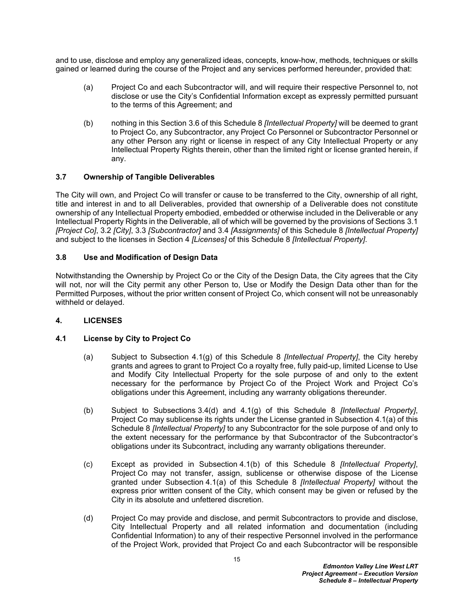and to use, disclose and employ any generalized ideas, concepts, know-how, methods, techniques or skills gained or learned during the course of the Project and any services performed hereunder, provided that:

- (a) Project Co and each Subcontractor will, and will require their respective Personnel to, not disclose or use the City's Confidential Information except as expressly permitted pursuant to the terms of this Agreement; and
- (b) nothing in this Section [3.6](#page-15-1) of this Schedule 8 *[Intellectual Property]* will be deemed to grant to Project Co, any Subcontractor, any Project Co Personnel or Subcontractor Personnel or any other Person any right or license in respect of any City Intellectual Property or any Intellectual Property Rights therein, other than the limited right or license granted herein, if any.

## <span id="page-16-0"></span>**3.7 Ownership of Tangible Deliverables**

The City will own, and Project Co will transfer or cause to be transferred to the City, ownership of all right, title and interest in and to all Deliverables, provided that ownership of a Deliverable does not constitute ownership of any Intellectual Property embodied, embedded or otherwise included in the Deliverable or any Intellectual Property Rights in the Deliverable, all of which will be governed by the provisions of Sections [3.1](#page-14-1) *[Project Co]*, [3.2](#page-14-2) *[City]*, [3.3](#page-14-3) *[Subcontractor]* and [3.4](#page-14-4) *[Assignments]* of this Schedule 8 *[Intellectual Property]*  and subject to the licenses in Section [4](#page-16-2) *[Licenses]* of this Schedule 8 *[Intellectual Property]*.

### <span id="page-16-1"></span>**3.8 Use and Modification of Design Data**

Notwithstanding the Ownership by Project Co or the City of the Design Data, the City agrees that the City will not, nor will the City permit any other Person to, Use or Modify the Design Data other than for the Permitted Purposes, without the prior written consent of Project Co, which consent will not be unreasonably withheld or delayed.

### <span id="page-16-2"></span>**4. LICENSES**

### <span id="page-16-3"></span>**4.1 License by City to Project Co**

- <span id="page-16-5"></span>(a) Subject to Subsection [4.1\(g\)](#page-17-0) of this Schedule 8 *[Intellectual Property]*, the City hereby grants and agrees to grant to Project Co a royalty free, fully paid-up, limited License to Use and Modify City Intellectual Property for the sole purpose of and only to the extent necessary for the performance by Project Co of the Project Work and Project Co's obligations under this Agreement, including any warranty obligations thereunder.
- <span id="page-16-4"></span>(b) Subject to Subsections [3.4\(d\)](#page-15-2) and [4.1\(g\)](#page-17-0) of this Schedule 8 *[Intellectual Property]*, Project Co may sublicense its rights under the License granted in Subsection [4.1\(a\)](#page-16-5) of this Schedule 8 *[Intellectual Property]* to any Subcontractor for the sole purpose of and only to the extent necessary for the performance by that Subcontractor of the Subcontractor's obligations under its Subcontract, including any warranty obligations thereunder.
- (c) Except as provided in Subsection [4.1\(b\)](#page-16-4) of this Schedule 8 *[Intellectual Property]*, Project Co may not transfer, assign, sublicense or otherwise dispose of the License granted under Subsection [4.1\(a\)](#page-16-5) of this Schedule 8 *[Intellectual Property]* without the express prior written consent of the City, which consent may be given or refused by the City in its absolute and unfettered discretion.
- (d) Project Co may provide and disclose, and permit Subcontractors to provide and disclose, City Intellectual Property and all related information and documentation (including Confidential Information) to any of their respective Personnel involved in the performance of the Project Work, provided that Project Co and each Subcontractor will be responsible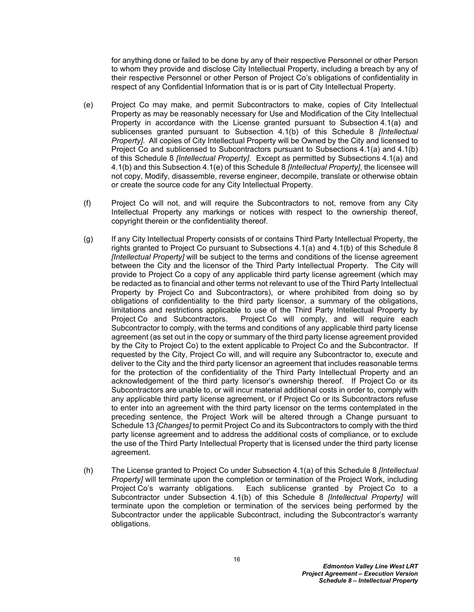for anything done or failed to be done by any of their respective Personnel or other Person to whom they provide and disclose City Intellectual Property, including a breach by any of their respective Personnel or other Person of Project Co's obligations of confidentiality in respect of any Confidential Information that is or is part of City Intellectual Property.

- <span id="page-17-1"></span>(e) Project Co may make, and permit Subcontractors to make, copies of City Intellectual Property as may be reasonably necessary for Use and Modification of the City Intellectual Property in accordance with the License granted pursuant to Subsection [4.1\(a\)](#page-16-5) and sublicenses granted pursuant to Subsection [4.1\(b\)](#page-16-4) of this Schedule 8 *[Intellectual Property]*. All copies of City Intellectual Property will be Owned by the City and licensed to Project Co and sublicensed to Subcontractors pursuant to Subsections [4.1\(a\)](#page-16-5) and [4.1\(b\)](#page-16-4)  of this Schedule 8 *[Intellectual Property]*. Except as permitted by Subsections [4.1\(a\)](#page-16-5) and [4.1\(b\)](#page-16-4) and this Subsection [4.1\(e\)](#page-17-1) of this Schedule 8 *[Intellectual Property]*, the licensee will not copy, Modify, disassemble, reverse engineer, decompile, translate or otherwise obtain or create the source code for any City Intellectual Property.
- (f) Project Co will not, and will require the Subcontractors to not, remove from any City Intellectual Property any markings or notices with respect to the ownership thereof, copyright therein or the confidentiality thereof.
- <span id="page-17-0"></span>(g) If any City Intellectual Property consists of or contains Third Party Intellectual Property, the rights granted to Project Co pursuant to Subsections [4.1\(a\)](#page-16-5) and [4.1\(b\)](#page-16-4) of this Schedule 8 *[Intellectual Property]* will be subject to the terms and conditions of the license agreement between the City and the licensor of the Third Party Intellectual Property. The City will provide to Project Co a copy of any applicable third party license agreement (which may be redacted as to financial and other terms not relevant to use of the Third Party Intellectual Property by Project Co and Subcontractors), or where prohibited from doing so by obligations of confidentiality to the third party licensor, a summary of the obligations, limitations and restrictions applicable to use of the Third Party Intellectual Property by Project Co and Subcontractors. Project Co will comply, and will require each Subcontractor to comply, with the terms and conditions of any applicable third party license agreement (as set out in the copy or summary of the third party license agreement provided by the City to Project Co) to the extent applicable to Project Co and the Subcontractor. If requested by the City, Project Co will, and will require any Subcontractor to, execute and deliver to the City and the third party licensor an agreement that includes reasonable terms for the protection of the confidentiality of the Third Party Intellectual Property and an acknowledgement of the third party licensor's ownership thereof. If Project Co or its Subcontractors are unable to, or will incur material additional costs in order to, comply with any applicable third party license agreement, or if Project Co or its Subcontractors refuse to enter into an agreement with the third party licensor on the terms contemplated in the preceding sentence, the Project Work will be altered through a Change pursuant to Schedule 13 *[Changes]* to permit Project Co and its Subcontractors to comply with the third party license agreement and to address the additional costs of compliance, or to exclude the use of the Third Party Intellectual Property that is licensed under the third party license agreement.
- (h) The License granted to Project Co under Subsection [4.1\(a\)](#page-16-5) of this Schedule 8 *[Intellectual Property]* will terminate upon the completion or termination of the Project Work, including Project Co's warranty obligations. Each sublicense granted by Project Co to a Subcontractor under Subsection [4.1\(b\)](#page-16-4) of this Schedule 8 *[Intellectual Property]* will terminate upon the completion or termination of the services being performed by the Subcontractor under the applicable Subcontract, including the Subcontractor's warranty obligations.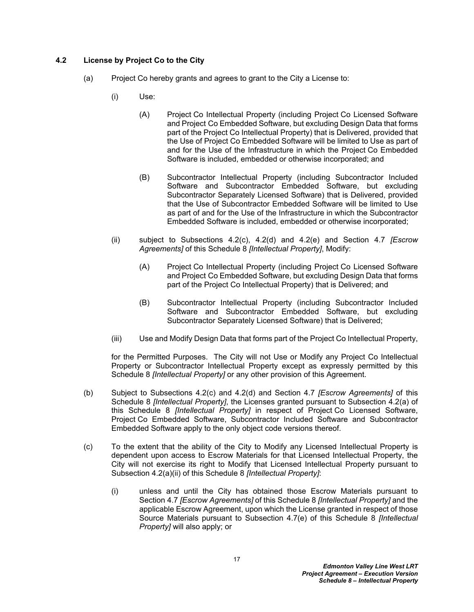## <span id="page-18-0"></span>**4.2 License by Project Co to the City**

- <span id="page-18-2"></span>(a) Project Co hereby grants and agrees to grant to the City a License to:
	- (i) Use:
		- (A) Project Co Intellectual Property (including Project Co Licensed Software and Project Co Embedded Software, but excluding Design Data that forms part of the Project Co Intellectual Property) that is Delivered, provided that the Use of Project Co Embedded Software will be limited to Use as part of and for the Use of the Infrastructure in which the Project Co Embedded Software is included, embedded or otherwise incorporated; and
		- (B) Subcontractor Intellectual Property (including Subcontractor Included Software and Subcontractor Embedded Software, but excluding Subcontractor Separately Licensed Software) that is Delivered, provided that the Use of Subcontractor Embedded Software will be limited to Use as part of and for the Use of the Infrastructure in which the Subcontractor Embedded Software is included, embedded or otherwise incorporated;
	- (ii) subject to Subsections [4.2\(c\),](#page-18-1) [4.2\(d\)](#page-19-0) and [4.2\(e\)](#page-19-1) and Section [4.7](#page-25-1) *[Escrow Agreements]* of this Schedule 8 *[Intellectual Property]*, Modify:
		- (A) Project Co Intellectual Property (including Project Co Licensed Software and Project Co Embedded Software, but excluding Design Data that forms part of the Project Co Intellectual Property) that is Delivered; and
		- (B) Subcontractor Intellectual Property (including Subcontractor Included Software and Subcontractor Embedded Software, but excluding Subcontractor Separately Licensed Software) that is Delivered;
	- (iii) Use and Modify Design Data that forms part of the Project Co Intellectual Property,

<span id="page-18-3"></span>for the Permitted Purposes. The City will not Use or Modify any Project Co Intellectual Property or Subcontractor Intellectual Property except as expressly permitted by this Schedule 8 *[Intellectual Property]* or any other provision of this Agreement.

- (b) Subject to Subsections [4.2\(c\)](#page-18-1) and [4.2\(d\)](#page-19-0) and Section [4.7](#page-25-1) *[Escrow Agreements]* of this Schedule 8 *[Intellectual Property]*, the Licenses granted pursuant to Subsection [4.2\(a\)](#page-18-2) of this Schedule 8 *[Intellectual Property]* in respect of Project Co Licensed Software, Project Co Embedded Software, Subcontractor Included Software and Subcontractor Embedded Software apply to the only object code versions thereof.
- <span id="page-18-1"></span>(c) To the extent that the ability of the City to Modify any Licensed Intellectual Property is dependent upon access to Escrow Materials for that Licensed Intellectual Property, the City will not exercise its right to Modify that Licensed Intellectual Property pursuant to Subsection [4.2\(a\)\(ii\)](#page-18-3) of this Schedule 8 *[Intellectual Property]*:
	- (i) unless and until the City has obtained those Escrow Materials pursuant to Section [4.7](#page-25-1) *[Escrow Agreements]* of this Schedule 8 *[Intellectual Property]* and the applicable Escrow Agreement, upon which the License granted in respect of those Source Materials pursuant to Subsection [4.7\(e\)](#page-26-0) of this Schedule 8 *[Intellectual Property]* will also apply; or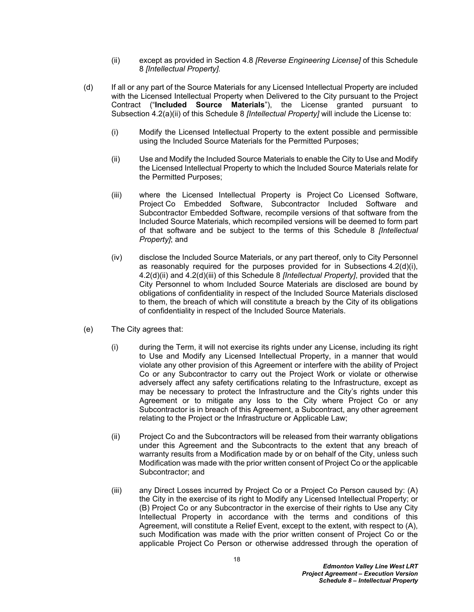- (ii) except as provided in Section [4.8](#page-28-0) *[Reverse Engineering License]* of this Schedule 8 *[Intellectual Property].*
- <span id="page-19-4"></span><span id="page-19-3"></span><span id="page-19-2"></span><span id="page-19-0"></span>(d) If all or any part of the Source Materials for any Licensed Intellectual Property are included with the Licensed Intellectual Property when Delivered to the City pursuant to the Project Contract ("**Included Source Materials**"), the License granted pursuant to Subsection [4.2\(a\)\(ii\)](#page-18-3) of this Schedule 8 *[Intellectual Property]* will include the License to:
	- (i) Modify the Licensed Intellectual Property to the extent possible and permissible using the Included Source Materials for the Permitted Purposes;
	- (ii) Use and Modify the Included Source Materials to enable the City to Use and Modify the Licensed Intellectual Property to which the Included Source Materials relate for the Permitted Purposes;
	- (iii) where the Licensed Intellectual Property is Project Co Licensed Software, Project Co Embedded Software, Subcontractor Included Software and Subcontractor Embedded Software, recompile versions of that software from the Included Source Materials, which recompiled versions will be deemed to form part of that software and be subject to the terms of this Schedule 8 *[Intellectual Property]*; and
	- (iv) disclose the Included Source Materials, or any part thereof, only to City Personnel as reasonably required for the purposes provided for in Subsections [4.2\(d\)\(i\)](#page-19-2), [4.2\(d\)\(ii\)](#page-19-3) and [4.2\(d\)\(iii\)](#page-19-4) of this Schedule 8 *[Intellectual Property]*, provided that the City Personnel to whom Included Source Materials are disclosed are bound by obligations of confidentiality in respect of the Included Source Materials disclosed to them, the breach of which will constitute a breach by the City of its obligations of confidentiality in respect of the Included Source Materials.
- <span id="page-19-1"></span>(e) The City agrees that:
	- (i) during the Term, it will not exercise its rights under any License, including its right to Use and Modify any Licensed Intellectual Property, in a manner that would violate any other provision of this Agreement or interfere with the ability of Project Co or any Subcontractor to carry out the Project Work or violate or otherwise adversely affect any safety certifications relating to the Infrastructure, except as may be necessary to protect the Infrastructure and the City's rights under this Agreement or to mitigate any loss to the City where Project Co or any Subcontractor is in breach of this Agreement, a Subcontract, any other agreement relating to the Project or the Infrastructure or Applicable Law;
	- (ii) Project Co and the Subcontractors will be released from their warranty obligations under this Agreement and the Subcontracts to the extent that any breach of warranty results from a Modification made by or on behalf of the City, unless such Modification was made with the prior written consent of Project Co or the applicable Subcontractor; and
	- (iii) any Direct Losses incurred by Project Co or a Project Co Person caused by: (A) the City in the exercise of its right to Modify any Licensed Intellectual Property; or (B) Project Co or any Subcontractor in the exercise of their rights to Use any City Intellectual Property in accordance with the terms and conditions of this Agreement, will constitute a Relief Event, except to the extent, with respect to (A), such Modification was made with the prior written consent of Project Co or the applicable Project Co Person or otherwise addressed through the operation of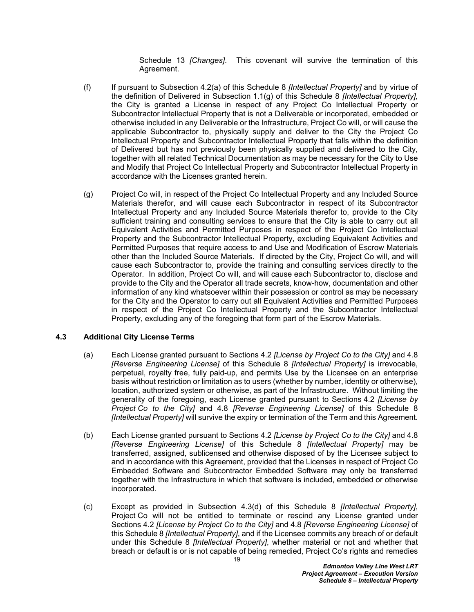Schedule 13 *[Changes]*. This covenant will survive the termination of this Agreement.

- <span id="page-20-3"></span>(f) If pursuant to Subsection [4.2\(a\)](#page-18-2) of this Schedule 8 *[Intellectual Property]* and by virtue of the definition of Delivered in Subsection [1.1\(g\)](#page-3-5) of this Schedule 8 *[Intellectual Property],* the City is granted a License in respect of any Project Co Intellectual Property or Subcontractor Intellectual Property that is not a Deliverable or incorporated, embedded or otherwise included in any Deliverable or the Infrastructure, Project Co will, or will cause the applicable Subcontractor to, physically supply and deliver to the City the Project Co Intellectual Property and Subcontractor Intellectual Property that falls within the definition of Delivered but has not previously been physically supplied and delivered to the City, together with all related Technical Documentation as may be necessary for the City to Use and Modify that Project Co Intellectual Property and Subcontractor Intellectual Property in accordance with the Licenses granted herein.
- <span id="page-20-4"></span>(g) Project Co will, in respect of the Project Co Intellectual Property and any Included Source Materials therefor, and will cause each Subcontractor in respect of its Subcontractor Intellectual Property and any Included Source Materials therefor to, provide to the City sufficient training and consulting services to ensure that the City is able to carry out all Equivalent Activities and Permitted Purposes in respect of the Project Co Intellectual Property and the Subcontractor Intellectual Property, excluding Equivalent Activities and Permitted Purposes that require access to and Use and Modification of Escrow Materials other than the Included Source Materials. If directed by the City, Project Co will, and will cause each Subcontractor to, provide the training and consulting services directly to the Operator. In addition, Project Co will, and will cause each Subcontractor to, disclose and provide to the City and the Operator all trade secrets, know-how, documentation and other information of any kind whatsoever within their possession or control as may be necessary for the City and the Operator to carry out all Equivalent Activities and Permitted Purposes in respect of the Project Co Intellectual Property and the Subcontractor Intellectual Property, excluding any of the foregoing that form part of the Escrow Materials.

## <span id="page-20-0"></span>**4.3 Additional City License Terms**

- <span id="page-20-5"></span>(a) Each License granted pursuant to Sections [4.2](#page-18-0) *[License by Project Co to the City]* and [4.8](#page-28-0) *[Reverse Engineering License]* of this Schedule 8 *[Intellectual Property]* is irrevocable, perpetual, royalty free, fully paid-up, and permits Use by the Licensee on an enterprise basis without restriction or limitation as to users (whether by number, identity or otherwise), location, authorized system or otherwise, as part of the Infrastructure. Without limiting the generality of the foregoing, each License granted pursuant to Sections [4.2](#page-18-0) *[License by Project Co to the City]* and [4.8](#page-28-0) *[Reverse Engineering License]* of this Schedule 8 *[Intellectual Property]* will survive the expiry or termination of the Term and this Agreement.
- <span id="page-20-2"></span>(b) Each License granted pursuant to Sections [4.2](#page-18-0) *[License by Project Co to the City]* and [4.8](#page-28-0) *[Reverse Engineering License]* of this Schedule 8 *[Intellectual Property]* may be transferred, assigned, sublicensed and otherwise disposed of by the Licensee subject to and in accordance with this Agreement, provided that the Licenses in respect of Project Co Embedded Software and Subcontractor Embedded Software may only be transferred together with the Infrastructure in which that software is included, embedded or otherwise incorporated.
- <span id="page-20-1"></span>(c) Except as provided in Subsection [4.3\(d\)](#page-21-1) of this Schedule 8 *[Intellectual Property]*, Project Co will not be entitled to terminate or rescind any License granted under Sections [4.2](#page-18-0) *[License by Project Co to the City]* and [4.8](#page-28-0) *[Reverse Engineering License]* of this Schedule 8 *[Intellectual Property]*, and if the Licensee commits any breach of or default under this Schedule 8 *[Intellectual Property]*, whether material or not and whether that breach or default is or is not capable of being remedied, Project Co's rights and remedies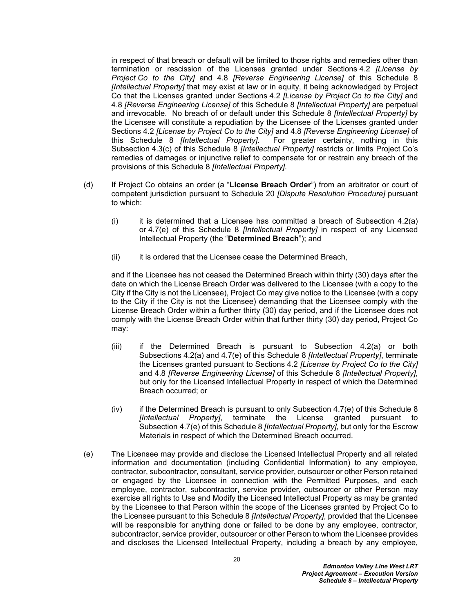in respect of that breach or default will be limited to those rights and remedies other than termination or rescission of the Licenses granted under Sections [4.2](#page-18-0) *[License by Project Co to the City]* and [4.8](#page-28-0) *[Reverse Engineering License]* of this Schedule 8 *[Intellectual Property]* that may exist at law or in equity, it being acknowledged by Project Co that the Licenses granted under Sections [4.2](#page-18-0) *[License by Project Co to the City]* and [4.8](#page-28-0) *[Reverse Engineering License]* of this Schedule 8 *[Intellectual Property]* are perpetual and irrevocable. No breach of or default under this Schedule 8 *[Intellectual Property]* by the Licensee will constitute a repudiation by the Licensee of the Licenses granted under Sections [4.2](#page-18-0) *[License by Project Co to the City]* and [4.8](#page-28-0) *[Reverse Engineering License]* of this Schedule 8 *[Intellectual Property]*. For greater certainty, nothing in this Subsection [4.3\(c\)](#page-20-1) of this Schedule 8 *[Intellectual Property]* restricts or limits Project Co's remedies of damages or injunctive relief to compensate for or restrain any breach of the provisions of this Schedule 8 *[Intellectual Property]*.

- <span id="page-21-1"></span><span id="page-21-0"></span>(d) If Project Co obtains an order (a "**License Breach Order**") from an arbitrator or court of competent jurisdiction pursuant to Schedule 20 *[Dispute Resolution Procedure]* pursuant to which:
	- (i) it is determined that a Licensee has committed a breach of Subsection  $4.2(a)$ or [4.7\(e\)](#page-26-0) of this Schedule 8 *[Intellectual Property]* in respect of any Licensed Intellectual Property (the "**Determined Breach**"); and
	- (ii) it is ordered that the Licensee cease the Determined Breach,

and if the Licensee has not ceased the Determined Breach within thirty (30) days after the date on which the License Breach Order was delivered to the Licensee (with a copy to the City if the City is not the Licensee), Project Co may give notice to the Licensee (with a copy to the City if the City is not the Licensee) demanding that the Licensee comply with the License Breach Order within a further thirty (30) day period, and if the Licensee does not comply with the License Breach Order within that further thirty (30) day period, Project Co may:

- (iii) if the Determined Breach is pursuant to Subsection [4.2\(a\)](#page-18-2) or both Subsections [4.2\(a\)](#page-18-2) and [4.7\(e\)](#page-26-0) of this Schedule 8 *[Intellectual Property]*, terminate the Licenses granted pursuant to Sections [4.2](#page-18-0) *[License by Project Co to the City]* and [4.8](#page-28-0) *[Reverse Engineering License]* of this Schedule 8 *[Intellectual Property]*, but only for the Licensed Intellectual Property in respect of which the Determined Breach occurred; or
- (iv) if the Determined Breach is pursuant to only Subsection [4.7\(e\)](#page-26-0) of this Schedule 8 *[Intellectual Property]*, terminate the License granted pursuant to Subsection [4.7\(e\)](#page-26-0) of this Schedule 8 *[Intellectual Property]*, but only for the Escrow Materials in respect of which the Determined Breach occurred.
- (e) The Licensee may provide and disclose the Licensed Intellectual Property and all related information and documentation (including Confidential Information) to any employee, contractor, subcontractor, consultant, service provider, outsourcer or other Person retained or engaged by the Licensee in connection with the Permitted Purposes, and each employee, contractor, subcontractor, service provider, outsourcer or other Person may exercise all rights to Use and Modify the Licensed Intellectual Property as may be granted by the Licensee to that Person within the scope of the Licenses granted by Project Co to the Licensee pursuant to this Schedule 8 *[Intellectual Property]*, provided that the Licensee will be responsible for anything done or failed to be done by any employee, contractor, subcontractor, service provider, outsourcer or other Person to whom the Licensee provides and discloses the Licensed Intellectual Property, including a breach by any employee,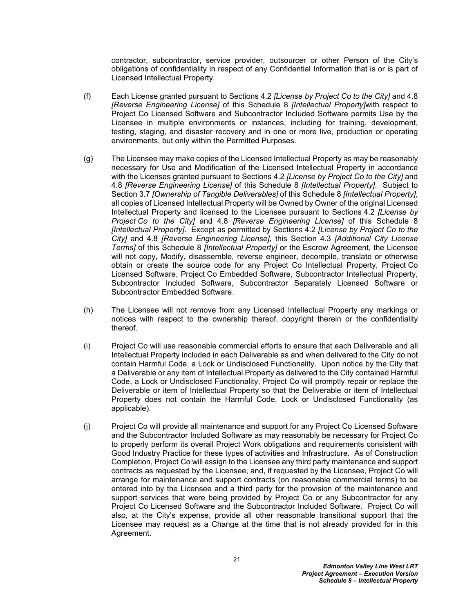contractor, subcontractor, service provider, outsourcer or other Person of the City's obligations of confidentiality in respect of any Confidential Information that is or is part of Licensed Intellectual Property.

- (f) Each License granted pursuant to Sections [4.2](#page-18-0) *[License by Project Co to the City]* and [4.8](#page-28-0) *[Reverse Engineering License]* of this Schedule 8 *[Intellectual Property]*with respect to Project Co Licensed Software and Subcontractor Included Software permits Use by the Licensee in multiple environments or instances, including for training, development, testing, staging, and disaster recovery and in one or more live, production or operating environments, but only within the Permitted Purposes.
- (g) The Licensee may make copies of the Licensed Intellectual Property as may be reasonably necessary for Use and Modification of the Licensed Intellectual Property in accordance with the Licenses granted pursuant to Sections [4.2](#page-18-0) *[License by Project Co to the City]* and [4.8](#page-28-0) *[Reverse Engineering License]* of this Schedule 8 *[Intellectual Property]*. Subject to Section [3.7](#page-16-0) *[Ownership of Tangible Deliverables]* of this Schedule 8 *[Intellectual Property]*, all copies of Licensed Intellectual Property will be Owned by Owner of the original Licensed Intellectual Property and licensed to the Licensee pursuant to Sections [4.2](#page-18-0) *[License by Project Co to the City]* and [4.8](#page-28-0) *[Reverse Engineering License]* of this Schedule 8 *[Intellectual Property]*. Except as permitted by Sections [4.2](#page-18-0) *[License by Project Co to the City]* and [4.8](#page-28-0) *[Reverse Engineering License]*, this Section [4.3](#page-20-0) *[Additional City License Terms]* of this Schedule 8 *[Intellectual Property]* or the Escrow Agreement, the Licensee will not copy, Modify, disassemble, reverse engineer, decompile, translate or otherwise obtain or create the source code for any Project Co Intellectual Property, Project Co Licensed Software, Project Co Embedded Software, Subcontractor Intellectual Property, Subcontractor Included Software, Subcontractor Separately Licensed Software or Subcontractor Embedded Software.
- (h) The Licensee will not remove from any Licensed Intellectual Property any markings or notices with respect to the ownership thereof, copyright therein or the confidentiality thereof.
- (i) Project Co will use reasonable commercial efforts to ensure that each Deliverable and all Intellectual Property included in each Deliverable as and when delivered to the City do not contain Harmful Code, a Lock or Undisclosed Functionality. Upon notice by the City that a Deliverable or any item of Intellectual Property as delivered to the City contained Harmful Code, a Lock or Undisclosed Functionality, Project Co will promptly repair or replace the Deliverable or item of Intellectual Property so that the Deliverable or item of Intellectual Property does not contain the Harmful Code, Lock or Undisclosed Functionality (as applicable).
- (j) Project Co will provide all maintenance and support for any Project Co Licensed Software and the Subcontractor Included Software as may reasonably be necessary for Project Co to properly perform its overall Project Work obligations and requirements consistent with Good Industry Practice for these types of activities and Infrastructure. As of Construction Completion, Project Co will assign to the Licensee any third party maintenance and support contracts as requested by the Licensee, and, if requested by the Licensee, Project Co will arrange for maintenance and support contracts (on reasonable commercial terms) to be entered into by the Licensee and a third party for the provision of the maintenance and support services that were being provided by Project Co or any Subcontractor for any Project Co Licensed Software and the Subcontractor Included Software. Project Co will also, at the City's expense, provide all other reasonable transitional support that the Licensee may request as a Change at the time that is not already provided for in this Agreement.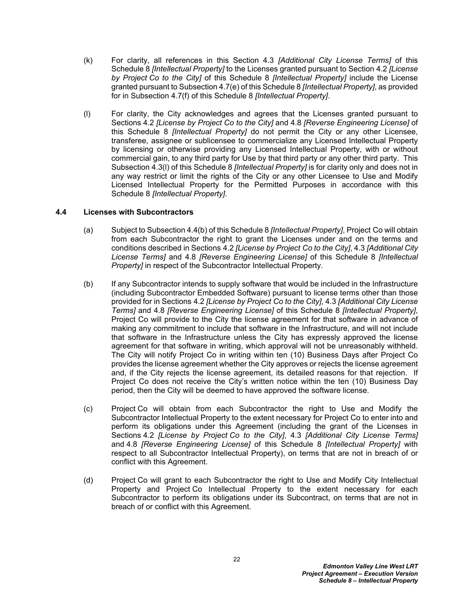- (k) For clarity, all references in this Section [4.3](#page-20-0) *[Additional City License Terms]* of this Schedule 8 *[Intellectual Property]* to the Licenses granted pursuant to Section [4.2](#page-18-0) *[License by Project Co to the City]* of this Schedule 8 *[Intellectual Property]* include the License granted pursuant to Subsection [4.7\(e\)](#page-26-0) of this Schedule 8 *[Intellectual Property]*, as provided for in Subsection [4.7\(f\)](#page-27-1) of this Schedule 8 *[Intellectual Property]*.
- <span id="page-23-2"></span>(l) For clarity, the City acknowledges and agrees that the Licenses granted pursuant to Sections [4.2](#page-18-0) *[License by Project Co to the City]* and [4.8](#page-28-0) *[Reverse Engineering License]* of this Schedule 8 *[Intellectual Property]* do not permit the City or any other Licensee, transferee, assignee or sublicensee to commercialize any Licensed Intellectual Property by licensing or otherwise providing any Licensed Intellectual Property, with or without commercial gain, to any third party for Use by that third party or any other third party. This Subsection [4.3\(l\)](#page-23-2) of this Schedule 8 *[Intellectual Property]* is for clarity only and does not in any way restrict or limit the rights of the City or any other Licensee to Use and Modify Licensed Intellectual Property for the Permitted Purposes in accordance with this Schedule 8 *[Intellectual Property]*.

### <span id="page-23-0"></span>**4.4 Licenses with Subcontractors**

- (a) Subject to Subsection [4.4\(b\)](#page-23-1) of this Schedule 8 *[Intellectual Property]*, Project Co will obtain from each Subcontractor the right to grant the Licenses under and on the terms and conditions described in Sections [4.2](#page-18-0) *[License by Project Co to the City]*, [4.3](#page-20-0) *[Additional City License Terms]* and [4.8](#page-28-0) *[Reverse Engineering License]* of this Schedule 8 *[Intellectual Property]* in respect of the Subcontractor Intellectual Property.
- <span id="page-23-1"></span>(b) If any Subcontractor intends to supply software that would be included in the Infrastructure (including Subcontractor Embedded Software) pursuant to license terms other than those provided for in Sections [4.2](#page-18-0) *[License by Project Co to the City]*, [4.3](#page-20-0) *[Additional City License Terms]* and [4.8](#page-28-0) *[Reverse Engineering License]* of this Schedule 8 *[Intellectual Property]*, Project Co will provide to the City the license agreement for that software in advance of making any commitment to include that software in the Infrastructure, and will not include that software in the Infrastructure unless the City has expressly approved the license agreement for that software in writing, which approval will not be unreasonably withheld. The City will notify Project Co in writing within ten (10) Business Days after Project Co provides the license agreement whether the City approves or rejects the license agreement and, if the City rejects the license agreement, its detailed reasons for that rejection. If Project Co does not receive the City's written notice within the ten (10) Business Day period, then the City will be deemed to have approved the software license.
- (c) Project Co will obtain from each Subcontractor the right to Use and Modify the Subcontractor Intellectual Property to the extent necessary for Project Co to enter into and perform its obligations under this Agreement (including the grant of the Licenses in Sections [4.2](#page-18-0) *[License by Project Co to the City]*, [4.3](#page-20-0) *[Additional City License Terms]* and [4.8](#page-28-0) *[Reverse Engineering License]* of this Schedule 8 *[Intellectual Property]* with respect to all Subcontractor Intellectual Property), on terms that are not in breach of or conflict with this Agreement.
- (d) Project Co will grant to each Subcontractor the right to Use and Modify City Intellectual Property and Project Co Intellectual Property to the extent necessary for each Subcontractor to perform its obligations under its Subcontract, on terms that are not in breach of or conflict with this Agreement.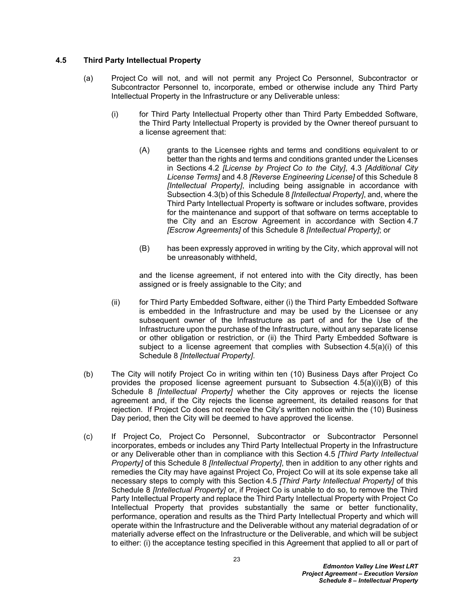### <span id="page-24-0"></span>**4.5 Third Party Intellectual Property**

- <span id="page-24-1"></span>(a) Project Co will not, and will not permit any Project Co Personnel, Subcontractor or Subcontractor Personnel to, incorporate, embed or otherwise include any Third Party Intellectual Property in the Infrastructure or any Deliverable unless:
	- (i) for Third Party Intellectual Property other than Third Party Embedded Software, the Third Party Intellectual Property is provided by the Owner thereof pursuant to a license agreement that:
		- (A) grants to the Licensee rights and terms and conditions equivalent to or better than the rights and terms and conditions granted under the Licenses in Sections [4.2](#page-18-0) *[License by Project Co to the City]*, [4.3](#page-20-0) *[Additional City License Terms]* and [4.8](#page-28-0) *[Reverse Engineering License]* of this Schedule 8 *[Intellectual Property]*, including being assignable in accordance with Subsection [4.3\(b\)](#page-20-2) of this Schedule 8 *[Intellectual Property]*, and, where the Third Party Intellectual Property is software or includes software, provides for the maintenance and support of that software on terms acceptable to the City and an Escrow Agreement in accordance with Section [4.7](#page-25-1)  *[Escrow Agreements]* of this Schedule 8 *[Intellectual Property]*; or
		- (B) has been expressly approved in writing by the City, which approval will not be unreasonably withheld,

<span id="page-24-2"></span>and the license agreement, if not entered into with the City directly, has been assigned or is freely assignable to the City; and

- (ii) for Third Party Embedded Software, either (i) the Third Party Embedded Software is embedded in the Infrastructure and may be used by the Licensee or any subsequent owner of the Infrastructure as part of and for the Use of the Infrastructure upon the purchase of the Infrastructure, without any separate license or other obligation or restriction, or (ii) the Third Party Embedded Software is subiect to a license agreement that complies with Subsection [4.5\(a\)\(i\)](#page-24-1) of this Schedule 8 *[Intellectual Property]*.
- (b) The City will notify Project Co in writing within ten (10) Business Days after Project Co provides the proposed license agreement pursuant to Subsection [4.5\(a\)\(i\)\(B\)](#page-24-2) of this Schedule 8 *[Intellectual Property]* whether the City approves or rejects the license agreement and, if the City rejects the license agreement, its detailed reasons for that rejection. If Project Co does not receive the City's written notice within the (10) Business Day period, then the City will be deemed to have approved the license.
- (c) If Project Co, Project Co Personnel, Subcontractor or Subcontractor Personnel incorporates, embeds or includes any Third Party Intellectual Property in the Infrastructure or any Deliverable other than in compliance with this Section [4.5](#page-24-0) *[Third Party Intellectual Property]* of this Schedule 8 *[Intellectual Property]*, then in addition to any other rights and remedies the City may have against Project Co, Project Co will at its sole expense take all necessary steps to comply with this Section [4.5](#page-24-0) *[Third Party Intellectual Property]* of this Schedule 8 *[Intellectual Property]* or, if Project Co is unable to do so, to remove the Third Party Intellectual Property and replace the Third Party Intellectual Property with Project Co Intellectual Property that provides substantially the same or better functionality, performance, operation and results as the Third Party Intellectual Property and which will operate within the Infrastructure and the Deliverable without any material degradation of or materially adverse effect on the Infrastructure or the Deliverable, and which will be subject to either: (i) the acceptance testing specified in this Agreement that applied to all or part of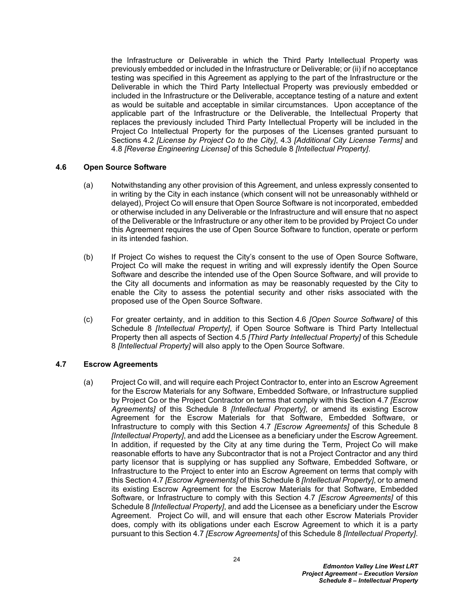the Infrastructure or Deliverable in which the Third Party Intellectual Property was previously embedded or included in the Infrastructure or Deliverable; or (ii) if no acceptance testing was specified in this Agreement as applying to the part of the Infrastructure or the Deliverable in which the Third Party Intellectual Property was previously embedded or included in the Infrastructure or the Deliverable, acceptance testing of a nature and extent as would be suitable and acceptable in similar circumstances. Upon acceptance of the applicable part of the Infrastructure or the Deliverable, the Intellectual Property that replaces the previously included Third Party Intellectual Property will be included in the Project Co Intellectual Property for the purposes of the Licenses granted pursuant to Sections [4.2](#page-18-0) *[License by Project Co to the City]*, [4.3](#page-20-0) *[Additional City License Terms]* and [4.8](#page-28-0) *[Reverse Engineering License]* of this Schedule 8 *[Intellectual Property]*.

### <span id="page-25-0"></span>**4.6 Open Source Software**

- (a) Notwithstanding any other provision of this Agreement, and unless expressly consented to in writing by the City in each instance (which consent will not be unreasonably withheld or delayed), Project Co will ensure that Open Source Software is not incorporated, embedded or otherwise included in any Deliverable or the Infrastructure and will ensure that no aspect of the Deliverable or the Infrastructure or any other item to be provided by Project Co under this Agreement requires the use of Open Source Software to function, operate or perform in its intended fashion.
- (b) If Project Co wishes to request the City's consent to the use of Open Source Software, Project Co will make the request in writing and will expressly identify the Open Source Software and describe the intended use of the Open Source Software, and will provide to the City all documents and information as may be reasonably requested by the City to enable the City to assess the potential security and other risks associated with the proposed use of the Open Source Software.
- (c) For greater certainty, and in addition to this Section [4.6](#page-25-0) *[Open Source Software]* of this Schedule 8 *[Intellectual Property]*, if Open Source Software is Third Party Intellectual Property then all aspects of Section [4.5](#page-24-0) *[Third Party Intellectual Property]* of this Schedule 8 *[Intellectual Property]* will also apply to the Open Source Software.

## <span id="page-25-1"></span>**4.7 Escrow Agreements**

(a) Project Co will, and will require each Project Contractor to, enter into an Escrow Agreement for the Escrow Materials for any Software, Embedded Software, or Infrastructure supplied by Project Co or the Project Contractor on terms that comply with this Section [4.7](#page-25-1) *[Escrow Agreements]* of this Schedule 8 *[Intellectual Property]*, or amend its existing Escrow Agreement for the Escrow Materials for that Software, Embedded Software, or Infrastructure to comply with this Section [4.7](#page-25-1) *[Escrow Agreements]* of this Schedule 8 *[Intellectual Property]*, and add the Licensee as a beneficiary under the Escrow Agreement. In addition, if requested by the City at any time during the Term, Project Co will make reasonable efforts to have any Subcontractor that is not a Project Contractor and any third party licensor that is supplying or has supplied any Software, Embedded Software, or Infrastructure to the Project to enter into an Escrow Agreement on terms that comply with this Section [4.7](#page-25-1) *[Escrow Agreements]* of this Schedule 8 *[Intellectual Property]*, or to amend its existing Escrow Agreement for the Escrow Materials for that Software, Embedded Software, or Infrastructure to comply with this Section [4.7](#page-25-1) *[Escrow Agreements]* of this Schedule 8 *[Intellectual Property]*, and add the Licensee as a beneficiary under the Escrow Agreement. Project Co will, and will ensure that each other Escrow Materials Provider does, comply with its obligations under each Escrow Agreement to which it is a party pursuant to this Section [4.7](#page-25-1) *[Escrow Agreements]* of this Schedule 8 *[Intellectual Property]*.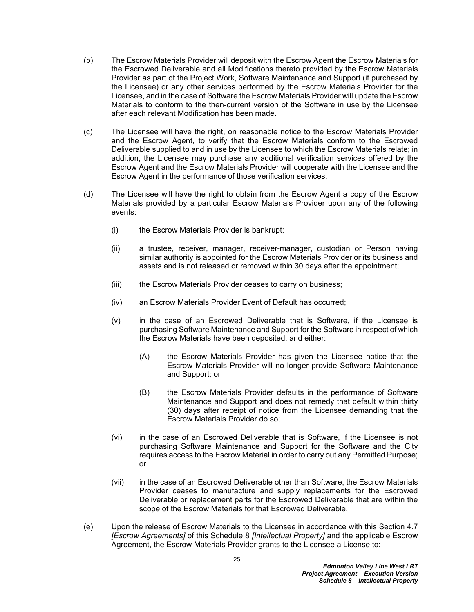- (b) The Escrow Materials Provider will deposit with the Escrow Agent the Escrow Materials for the Escrowed Deliverable and all Modifications thereto provided by the Escrow Materials Provider as part of the Project Work, Software Maintenance and Support (if purchased by the Licensee) or any other services performed by the Escrow Materials Provider for the Licensee, and in the case of Software the Escrow Materials Provider will update the Escrow Materials to conform to the then-current version of the Software in use by the Licensee after each relevant Modification has been made.
- (c) The Licensee will have the right, on reasonable notice to the Escrow Materials Provider and the Escrow Agent, to verify that the Escrow Materials conform to the Escrowed Deliverable supplied to and in use by the Licensee to which the Escrow Materials relate; in addition, the Licensee may purchase any additional verification services offered by the Escrow Agent and the Escrow Materials Provider will cooperate with the Licensee and the Escrow Agent in the performance of those verification services.
- (d) The Licensee will have the right to obtain from the Escrow Agent a copy of the Escrow Materials provided by a particular Escrow Materials Provider upon any of the following events:
	- (i) the Escrow Materials Provider is bankrupt;
	- (ii) a trustee, receiver, manager, receiver-manager, custodian or Person having similar authority is appointed for the Escrow Materials Provider or its business and assets and is not released or removed within 30 days after the appointment;
	- (iii) the Escrow Materials Provider ceases to carry on business;
	- (iv) an Escrow Materials Provider Event of Default has occurred;
	- (v) in the case of an Escrowed Deliverable that is Software, if the Licensee is purchasing Software Maintenance and Support for the Software in respect of which the Escrow Materials have been deposited, and either:
		- (A) the Escrow Materials Provider has given the Licensee notice that the Escrow Materials Provider will no longer provide Software Maintenance and Support; or
		- (B) the Escrow Materials Provider defaults in the performance of Software Maintenance and Support and does not remedy that default within thirty (30) days after receipt of notice from the Licensee demanding that the Escrow Materials Provider do so;
	- (vi) in the case of an Escrowed Deliverable that is Software, if the Licensee is not purchasing Software Maintenance and Support for the Software and the City requires access to the Escrow Material in order to carry out any Permitted Purpose; or
	- (vii) in the case of an Escrowed Deliverable other than Software, the Escrow Materials Provider ceases to manufacture and supply replacements for the Escrowed Deliverable or replacement parts for the Escrowed Deliverable that are within the scope of the Escrow Materials for that Escrowed Deliverable.
- <span id="page-26-0"></span>(e) Upon the release of Escrow Materials to the Licensee in accordance with this Section [4.7](#page-25-1)  *[Escrow Agreements]* of this Schedule 8 *[Intellectual Property]* and the applicable Escrow Agreement, the Escrow Materials Provider grants to the Licensee a License to: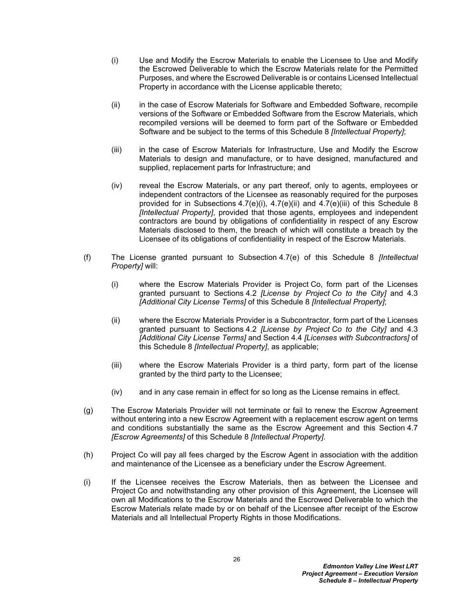- <span id="page-27-2"></span>(i) Use and Modify the Escrow Materials to enable the Licensee to Use and Modify the Escrowed Deliverable to which the Escrow Materials relate for the Permitted Purposes, and where the Escrowed Deliverable is or contains Licensed Intellectual Property in accordance with the License applicable thereto;
- <span id="page-27-3"></span>(ii) in the case of Escrow Materials for Software and Embedded Software, recompile versions of the Software or Embedded Software from the Escrow Materials, which recompiled versions will be deemed to form part of the Software or Embedded Software and be subject to the terms of this Schedule 8 *[Intellectual Property]*;
- <span id="page-27-4"></span>(iii) in the case of Escrow Materials for Infrastructure, Use and Modify the Escrow Materials to design and manufacture, or to have designed, manufactured and supplied, replacement parts for Infrastructure; and
- (iv) reveal the Escrow Materials, or any part thereof, only to agents, employees or independent contractors of the Licensee as reasonably required for the purposes provided for in Subsections [4.7\(e\)\(i\),](#page-27-2) [4.7\(e\)\(ii\)](#page-27-3) and [4.7\(e\)\(iii\)](#page-27-4) of this Schedule 8 *[Intellectual Property]*, provided that those agents, employees and independent contractors are bound by obligations of confidentiality in respect of any Escrow Materials disclosed to them, the breach of which will constitute a breach by the Licensee of its obligations of confidentiality in respect of the Escrow Materials.
- <span id="page-27-1"></span>(f) The License granted pursuant to Subsection [4.7\(e\)](#page-26-0) of this Schedule 8 *[Intellectual Property]* will:
	- (i) where the Escrow Materials Provider is Project Co, form part of the Licenses granted pursuant to Sections [4.2](#page-18-0) *[License by Project Co to the City]* and [4.3](#page-20-0)  *[Additional City License Terms]* of this Schedule 8 *[Intellectual Property]*;
	- (ii) where the Escrow Materials Provider is a Subcontractor, form part of the Licenses granted pursuant to Sections [4.2](#page-18-0) *[License by Project Co to the City]* and [4.3](#page-20-0)  *[Additional City License Terms]* and Section [4.4](#page-23-0) *[Licenses with Subcontractors]* of this Schedule 8 *[Intellectual Property]*, as applicable;
	- (iii) where the Escrow Materials Provider is a third party, form part of the license granted by the third party to the Licensee;
	- (iv) and in any case remain in effect for so long as the License remains in effect.
- (g) The Escrow Materials Provider will not terminate or fail to renew the Escrow Agreement without entering into a new Escrow Agreement with a replacement escrow agent on terms and conditions substantially the same as the Escrow Agreement and this Section [4.7](#page-25-1)  *[Escrow Agreements]* of this Schedule 8 *[Intellectual Property]*.
- (h) Project Co will pay all fees charged by the Escrow Agent in association with the addition and maintenance of the Licensee as a beneficiary under the Escrow Agreement.
- <span id="page-27-0"></span>(i) If the Licensee receives the Escrow Materials, then as between the Licensee and Project Co and notwithstanding any other provision of this Agreement, the Licensee will own all Modifications to the Escrow Materials and the Escrowed Deliverable to which the Escrow Materials relate made by or on behalf of the Licensee after receipt of the Escrow Materials and all Intellectual Property Rights in those Modifications.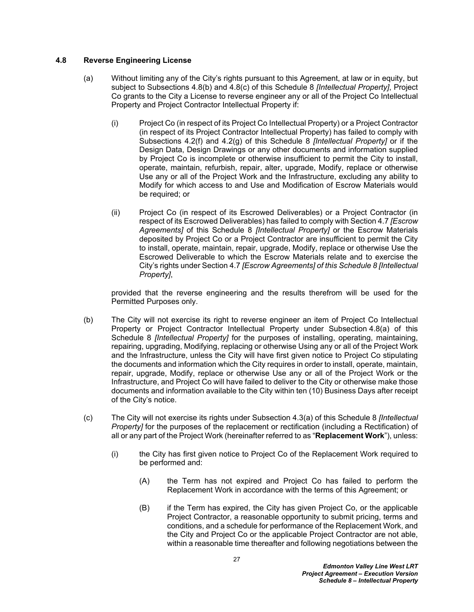## <span id="page-28-0"></span>**4.8 Reverse Engineering License**

- <span id="page-28-3"></span>(a) Without limiting any of the City's rights pursuant to this Agreement, at law or in equity, but subject to Subsections [4.8\(b\)](#page-28-2) and [4.8\(c\)](#page-28-1) of this Schedule 8 *[Intellectual Property]*, Project Co grants to the City a License to reverse engineer any or all of the Project Co Intellectual Property and Project Contractor Intellectual Property if:
	- (i) Project Co (in respect of its Project Co Intellectual Property) or a Project Contractor (in respect of its Project Contractor Intellectual Property) has failed to comply with Subsections [4.2\(f\)](#page-20-3) and [4.2\(g\)](#page-20-4) of this Schedule 8 *[Intellectual Property]* or if the Design Data, Design Drawings or any other documents and information supplied by Project Co is incomplete or otherwise insufficient to permit the City to install, operate, maintain, refurbish, repair, alter, upgrade, Modify, replace or otherwise Use any or all of the Project Work and the Infrastructure, excluding any ability to Modify for which access to and Use and Modification of Escrow Materials would be required; or
	- (ii) Project Co (in respect of its Escrowed Deliverables) or a Project Contractor (in respect of its Escrowed Deliverables) has failed to comply with Section [4.7](#page-25-1) *[Escrow Agreements]* of this Schedule 8 *[Intellectual Property]* or the Escrow Materials deposited by Project Co or a Project Contractor are insufficient to permit the City to install, operate, maintain, repair, upgrade, Modify, replace or otherwise Use the Escrowed Deliverable to which the Escrow Materials relate and to exercise the City's rights under Section [4.7](#page-25-1) *[Escrow Agreements] of this Schedule 8 [Intellectual Property]*,

provided that the reverse engineering and the results therefrom will be used for the Permitted Purposes only.

- <span id="page-28-2"></span>(b) The City will not exercise its right to reverse engineer an item of Project Co Intellectual Property or Project Contractor Intellectual Property under Subsection [4.8\(a\)](#page-28-3) of this Schedule 8 *[Intellectual Property]* for the purposes of installing, operating, maintaining, repairing, upgrading, Modifying, replacing or otherwise Using any or all of the Project Work and the Infrastructure, unless the City will have first given notice to Project Co stipulating the documents and information which the City requires in order to install, operate, maintain, repair, upgrade, Modify, replace or otherwise Use any or all of the Project Work or the Infrastructure, and Project Co will have failed to deliver to the City or otherwise make those documents and information available to the City within ten (10) Business Days after receipt of the City's notice.
- <span id="page-28-1"></span>(c) The City will not exercise its rights under Subsection [4.3\(a\)](#page-20-5) of this Schedule 8 *[Intellectual Property]* for the purposes of the replacement or rectification (including a Rectification) of all or any part of the Project Work (hereinafter referred to as "**Replacement Work**"), unless:
	- (i) the City has first given notice to Project Co of the Replacement Work required to be performed and:
		- (A) the Term has not expired and Project Co has failed to perform the Replacement Work in accordance with the terms of this Agreement; or
		- (B) if the Term has expired, the City has given Project Co, or the applicable Project Contractor, a reasonable opportunity to submit pricing, terms and conditions, and a schedule for performance of the Replacement Work, and the City and Project Co or the applicable Project Contractor are not able, within a reasonable time thereafter and following negotiations between the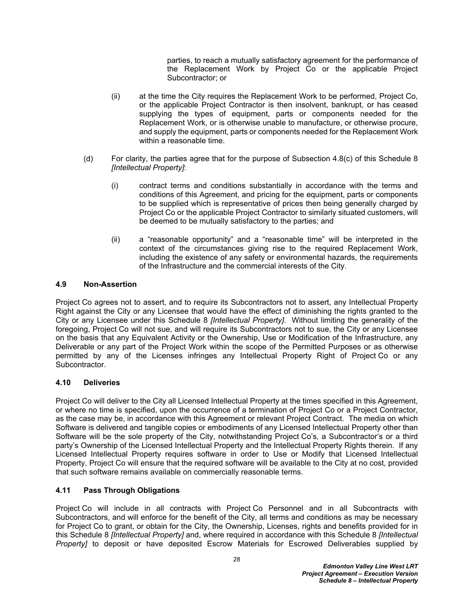parties, to reach a mutually satisfactory agreement for the performance of the Replacement Work by Project Co or the applicable Project Subcontractor; or

- (ii) at the time the City requires the Replacement Work to be performed, Project Co, or the applicable Project Contractor is then insolvent, bankrupt, or has ceased supplying the types of equipment, parts or components needed for the Replacement Work, or is otherwise unable to manufacture, or otherwise procure, and supply the equipment, parts or components needed for the Replacement Work within a reasonable time.
- (d) For clarity, the parties agree that for the purpose of Subsection [4.8\(c\)](#page-28-1) of this Schedule 8 *[Intellectual Property]*:
	- (i) contract terms and conditions substantially in accordance with the terms and conditions of this Agreement, and pricing for the equipment, parts or components to be supplied which is representative of prices then being generally charged by Project Co or the applicable Project Contractor to similarly situated customers, will be deemed to be mutually satisfactory to the parties; and
	- (ii) a "reasonable opportunity" and a "reasonable time" will be interpreted in the context of the circumstances giving rise to the required Replacement Work, including the existence of any safety or environmental hazards, the requirements of the Infrastructure and the commercial interests of the City.

### <span id="page-29-0"></span>**4.9 Non-Assertion**

Project Co agrees not to assert, and to require its Subcontractors not to assert, any Intellectual Property Right against the City or any Licensee that would have the effect of diminishing the rights granted to the City or any Licensee under this Schedule 8 *[Intellectual Property]*. Without limiting the generality of the foregoing, Project Co will not sue, and will require its Subcontractors not to sue, the City or any Licensee on the basis that any Equivalent Activity or the Ownership, Use or Modification of the Infrastructure, any Deliverable or any part of the Project Work within the scope of the Permitted Purposes or as otherwise permitted by any of the Licenses infringes any Intellectual Property Right of Project Co or any Subcontractor.

### <span id="page-29-1"></span>**4.10 Deliveries**

Project Co will deliver to the City all Licensed Intellectual Property at the times specified in this Agreement, or where no time is specified, upon the occurrence of a termination of Project Co or a Project Contractor, as the case may be, in accordance with this Agreement or relevant Project Contract. The media on which Software is delivered and tangible copies or embodiments of any Licensed Intellectual Property other than Software will be the sole property of the City, notwithstanding Project Co's, a Subcontractor's or a third party's Ownership of the Licensed Intellectual Property and the Intellectual Property Rights therein. If any Licensed Intellectual Property requires software in order to Use or Modify that Licensed Intellectual Property, Project Co will ensure that the required software will be available to the City at no cost, provided that such software remains available on commercially reasonable terms.

### <span id="page-29-2"></span>**4.11 Pass Through Obligations**

Project Co will include in all contracts with Project Co Personnel and in all Subcontracts with Subcontractors, and will enforce for the benefit of the City, all terms and conditions as may be necessary for Project Co to grant, or obtain for the City, the Ownership, Licenses, rights and benefits provided for in this Schedule 8 *[Intellectual Property]* and, where required in accordance with this Schedule 8 *[Intellectual Property]* to deposit or have deposited Escrow Materials for Escrowed Deliverables supplied by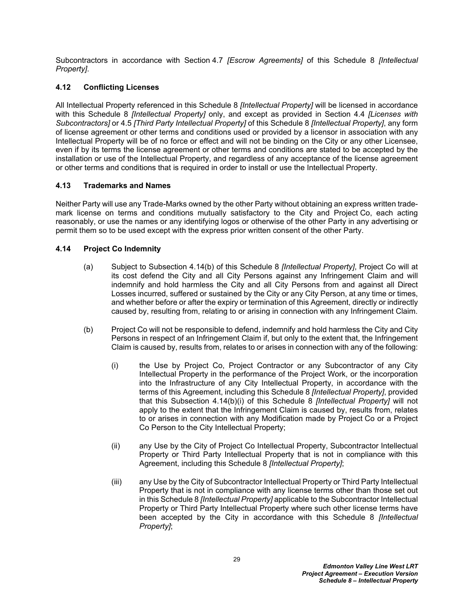Subcontractors in accordance with Section [4.7](#page-25-1) *[Escrow Agreements]* of this Schedule 8 *[Intellectual Property]*.

## <span id="page-30-0"></span>**4.12 Conflicting Licenses**

All Intellectual Property referenced in this Schedule 8 *[Intellectual Property]* will be licensed in accordance with this Schedule 8 *[Intellectual Property]* only, and except as provided in Section [4.4](#page-23-0) *[Licenses with Subcontractors]* or [4.5](#page-24-0) *[Third Party Intellectual Property]* of this Schedule 8 *[Intellectual Property]*, any form of license agreement or other terms and conditions used or provided by a licensor in association with any Intellectual Property will be of no force or effect and will not be binding on the City or any other Licensee, even if by its terms the license agreement or other terms and conditions are stated to be accepted by the installation or use of the Intellectual Property, and regardless of any acceptance of the license agreement or other terms and conditions that is required in order to install or use the Intellectual Property.

### <span id="page-30-1"></span>**4.13 Trademarks and Names**

Neither Party will use any Trade-Marks owned by the other Party without obtaining an express written trademark license on terms and conditions mutually satisfactory to the City and Project Co, each acting reasonably, or use the names or any identifying logos or otherwise of the other Party in any advertising or permit them so to be used except with the express prior written consent of the other Party.

### <span id="page-30-2"></span>**4.14 Project Co Indemnity**

- <span id="page-30-5"></span>(a) Subject to Subsection [4.14\(b\)](#page-30-3) of this Schedule 8 *[Intellectual Property]*, Project Co will at its cost defend the City and all City Persons against any Infringement Claim and will indemnify and hold harmless the City and all City Persons from and against all Direct Losses incurred, suffered or sustained by the City or any City Person, at any time or times, and whether before or after the expiry or termination of this Agreement, directly or indirectly caused by, resulting from, relating to or arising in connection with any Infringement Claim.
- <span id="page-30-4"></span><span id="page-30-3"></span>(b) Project Co will not be responsible to defend, indemnify and hold harmless the City and City Persons in respect of an Infringement Claim if, but only to the extent that, the Infringement Claim is caused by, results from, relates to or arises in connection with any of the following:
	- (i) the Use by Project Co, Project Contractor or any Subcontractor of any City Intellectual Property in the performance of the Project Work, or the incorporation into the Infrastructure of any City Intellectual Property, in accordance with the terms of this Agreement, including this Schedule 8 *[Intellectual Property]*, provided that this Subsection [4.14\(b\)\(i\)](#page-30-4) of this Schedule 8 *[Intellectual Property]* will not apply to the extent that the Infringement Claim is caused by, results from, relates to or arises in connection with any Modification made by Project Co or a Project Co Person to the City Intellectual Property;
	- (ii) any Use by the City of Project Co Intellectual Property, Subcontractor Intellectual Property or Third Party Intellectual Property that is not in compliance with this Agreement, including this Schedule 8 *[Intellectual Property]*;
	- (iii) any Use by the City of Subcontractor Intellectual Property or Third Party Intellectual Property that is not in compliance with any license terms other than those set out in this Schedule 8 *[Intellectual Property]* applicable to the Subcontractor Intellectual Property or Third Party Intellectual Property where such other license terms have been accepted by the City in accordance with this Schedule 8 *[Intellectual Property]*;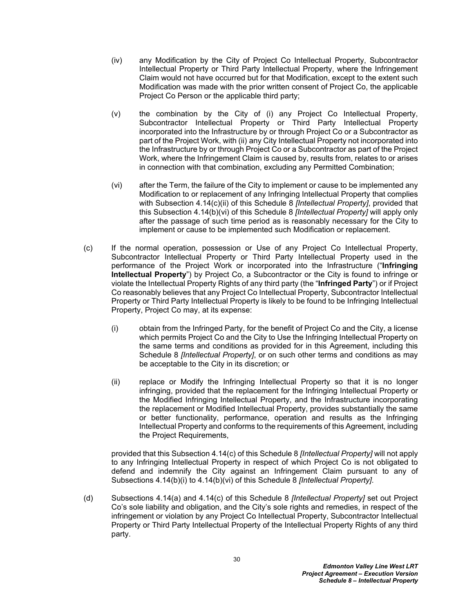- (iv) any Modification by the City of Project Co Intellectual Property, Subcontractor Intellectual Property or Third Party Intellectual Property, where the Infringement Claim would not have occurred but for that Modification, except to the extent such Modification was made with the prior written consent of Project Co, the applicable Project Co Person or the applicable third party;
- (v) the combination by the City of (i) any Project Co Intellectual Property, Subcontractor Intellectual Property or Third Party Intellectual Property incorporated into the Infrastructure by or through Project Co or a Subcontractor as part of the Project Work, with (ii) any City Intellectual Property not incorporated into the Infrastructure by or through Project Co or a Subcontractor as part of the Project Work, where the Infringement Claim is caused by, results from, relates to or arises in connection with that combination, excluding any Permitted Combination;
- <span id="page-31-2"></span>(vi) after the Term, the failure of the City to implement or cause to be implemented any Modification to or replacement of any Infringing Intellectual Property that complies with Subsection [4.14\(c\)\(ii\)](#page-31-1) of this Schedule 8 *[Intellectual Property]*, provided that this Subsection [4.14\(b\)\(vi\)](#page-31-2) of this Schedule 8 *[Intellectual Property]* will apply only after the passage of such time period as is reasonably necessary for the City to implement or cause to be implemented such Modification or replacement.
- <span id="page-31-0"></span>(c) If the normal operation, possession or Use of any Project Co Intellectual Property, Subcontractor Intellectual Property or Third Party Intellectual Property used in the performance of the Project Work or incorporated into the Infrastructure ("**Infringing Intellectual Property**") by Project Co, a Subcontractor or the City is found to infringe or violate the Intellectual Property Rights of any third party (the "**Infringed Party**") or if Project Co reasonably believes that any Project Co Intellectual Property, Subcontractor Intellectual Property or Third Party Intellectual Property is likely to be found to be Infringing Intellectual Property, Project Co may, at its expense:
	- (i) obtain from the Infringed Party, for the benefit of Project Co and the City, a license which permits Project Co and the City to Use the Infringing Intellectual Property on the same terms and conditions as provided for in this Agreement, including this Schedule 8 *[Intellectual Property]*, or on such other terms and conditions as may be acceptable to the City in its discretion; or
	- (ii) replace or Modify the Infringing Intellectual Property so that it is no longer infringing, provided that the replacement for the Infringing Intellectual Property or the Modified Infringing Intellectual Property, and the Infrastructure incorporating the replacement or Modified Intellectual Property, provides substantially the same or better functionality, performance, operation and results as the Infringing Intellectual Property and conforms to the requirements of this Agreement, including the Project Requirements,

<span id="page-31-1"></span>provided that this Subsection [4.14\(c\)](#page-31-0) of this Schedule 8 *[Intellectual Property]* will not apply to any Infringing Intellectual Property in respect of which Project Co is not obligated to defend and indemnify the City against an Infringement Claim pursuant to any of Subsections [4.14\(b\)\(i\)](#page-30-4) to [4.14\(b\)\(vi\)](#page-31-2) of this Schedule 8 *[Intellectual Property]*.

(d) Subsections [4.14\(a\)](#page-30-5) and [4.14\(c\)](#page-31-0) of this Schedule 8 *[Intellectual Property]* set out Project Co's sole liability and obligation, and the City's sole rights and remedies, in respect of the infringement or violation by any Project Co Intellectual Property, Subcontractor Intellectual Property or Third Party Intellectual Property of the Intellectual Property Rights of any third party.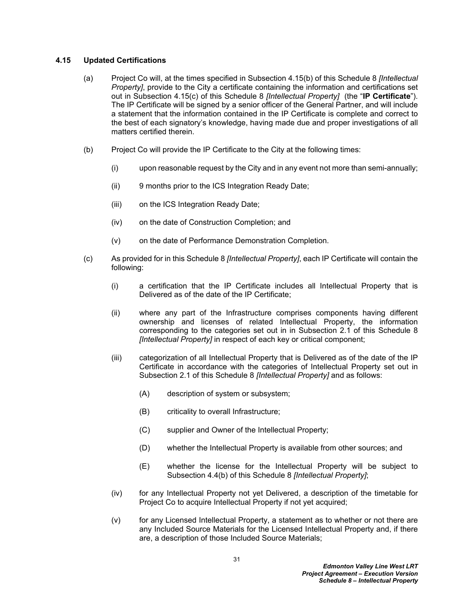### <span id="page-32-0"></span>**4.15 Updated Certifications**

- <span id="page-32-1"></span>(a) Project Co will, at the times specified in Subsection [4.15\(b\)](#page-32-2) of this Schedule 8 *[Intellectual Property]*, provide to the City a certificate containing the information and certifications set out in Subsection [4.15\(c\)](#page-32-3) of this Schedule 8 *[Intellectual Property]* (the "**IP Certificate**"). The IP Certificate will be signed by a senior officer of the General Partner, and will include a statement that the information contained in the IP Certificate is complete and correct to the best of each signatory's knowledge, having made due and proper investigations of all matters certified therein.
- <span id="page-32-2"></span>(b) Project Co will provide the IP Certificate to the City at the following times:
	- (i) upon reasonable request by the City and in any event not more than semi-annually;
	- (ii) 9 months prior to the ICS Integration Ready Date;
	- (iii) on the ICS Integration Ready Date;
	- (iv) on the date of Construction Completion; and
	- (v) on the date of Performance Demonstration Completion.
- <span id="page-32-3"></span>(c) As provided for in this Schedule 8 *[Intellectual Property]*, each IP Certificate will contain the following:
	- (i) a certification that the IP Certificate includes all Intellectual Property that is Delivered as of the date of the IP Certificate;
	- (ii) where any part of the Infrastructure comprises components having different ownership and licenses of related Intellectual Property, the information corresponding to the categories set out in in Subsection [2.1](#page-12-3) of this Schedule 8 *[Intellectual Property]* in respect of each key or critical component;
	- (iii) categorization of all Intellectual Property that is Delivered as of the date of the IP Certificate in accordance with the categories of Intellectual Property set out in Subsection [2.1](#page-12-3) of this Schedule 8 *[Intellectual Property]* and as follows:
		- (A) description of system or subsystem;
		- (B) criticality to overall Infrastructure;
		- (C) supplier and Owner of the Intellectual Property;
		- (D) whether the Intellectual Property is available from other sources; and
		- (E) whether the license for the Intellectual Property will be subject to Subsection [4.4\(b\)](#page-23-1) of this Schedule 8 *[Intellectual Property]*;
	- (iv) for any Intellectual Property not yet Delivered, a description of the timetable for Project Co to acquire Intellectual Property if not yet acquired;
	- $(v)$  for any Licensed Intellectual Property, a statement as to whether or not there are any Included Source Materials for the Licensed Intellectual Property and, if there are, a description of those Included Source Materials;